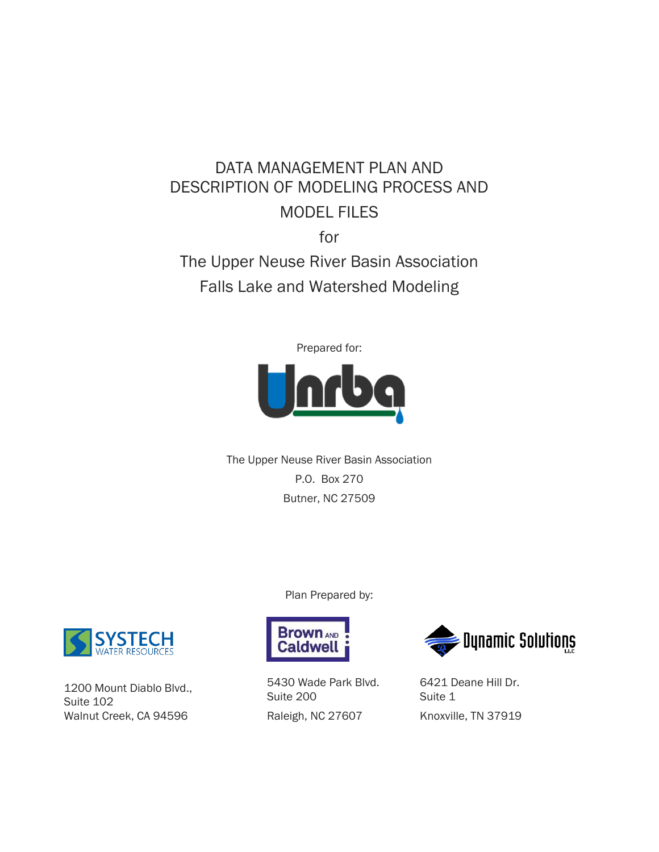# DATA MANAGEMENT PLAN AND DESCRIPTION OF MODELING PROCESS AND MODEL FILES

for

The Upper Neuse River Basin Association Falls Lake and Watershed Modeling

Prepared for:



The Upper Neuse River Basin Association P.O. Box 270 Butner, NC 27509

Plan Prepared by:



1200 Mount Diablo Blvd., Suite 102 Walnut Creek, CA 94596



5430 Wade Park Blvd. Suite 200 Raleigh, NC 27607



6421 Deane Hill Dr. Suite 1 Knoxville, TN 37919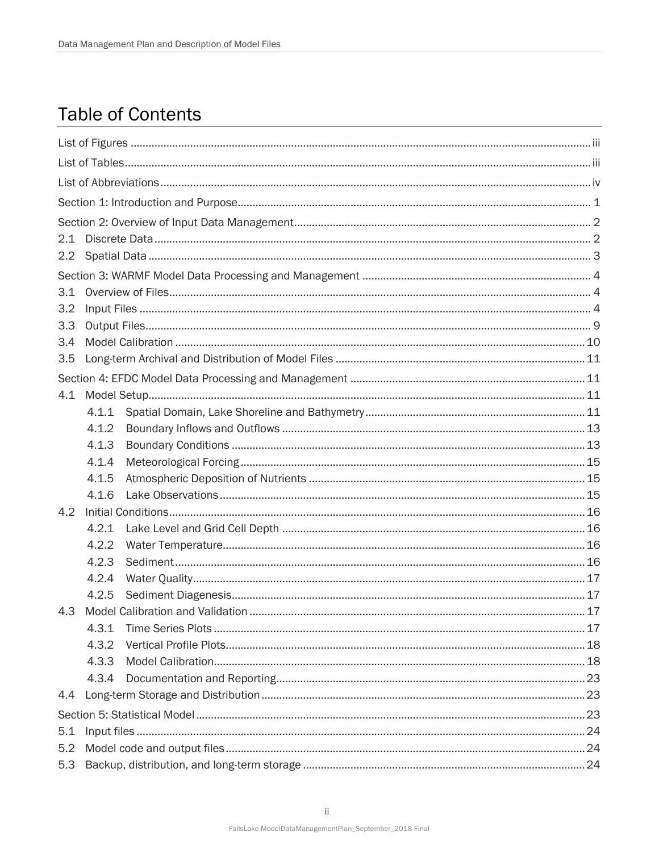## **Table of Contents**

| 2.1 |       |  |  |  |  |
|-----|-------|--|--|--|--|
|     |       |  |  |  |  |
|     |       |  |  |  |  |
| 3.1 |       |  |  |  |  |
| 3.2 |       |  |  |  |  |
| 3.3 |       |  |  |  |  |
| 3.4 |       |  |  |  |  |
| 3.5 |       |  |  |  |  |
|     |       |  |  |  |  |
| 4.1 |       |  |  |  |  |
|     | 4.1.1 |  |  |  |  |
|     | 4.1.2 |  |  |  |  |
|     | 4.1.3 |  |  |  |  |
|     | 4.1.4 |  |  |  |  |
|     | 4.1.5 |  |  |  |  |
|     | 4.1.6 |  |  |  |  |
| 4.2 |       |  |  |  |  |
|     | 4.2.1 |  |  |  |  |
|     | 4.2.2 |  |  |  |  |
|     | 4.2.3 |  |  |  |  |
|     | 4.2.4 |  |  |  |  |
|     | 4.2.5 |  |  |  |  |
| 4.3 |       |  |  |  |  |
|     | 4.3.1 |  |  |  |  |
|     | 4.3.2 |  |  |  |  |
|     | 4.3.3 |  |  |  |  |
|     | 4.3.4 |  |  |  |  |
|     | 4.4   |  |  |  |  |
|     |       |  |  |  |  |
| 5.1 |       |  |  |  |  |
| 5.2 |       |  |  |  |  |
| 5.3 |       |  |  |  |  |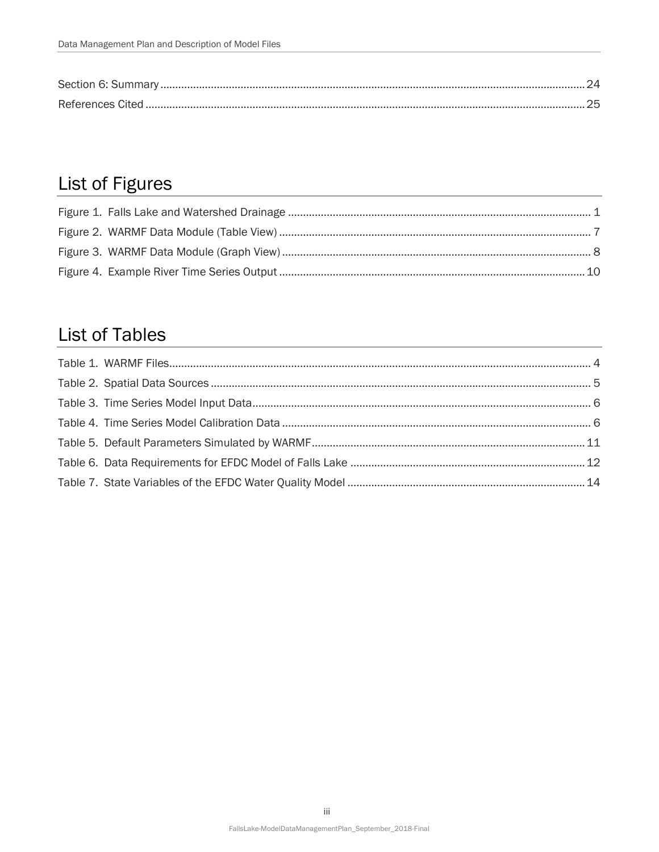# <span id="page-2-0"></span>List of Figures

## <span id="page-2-1"></span>**List of Tables**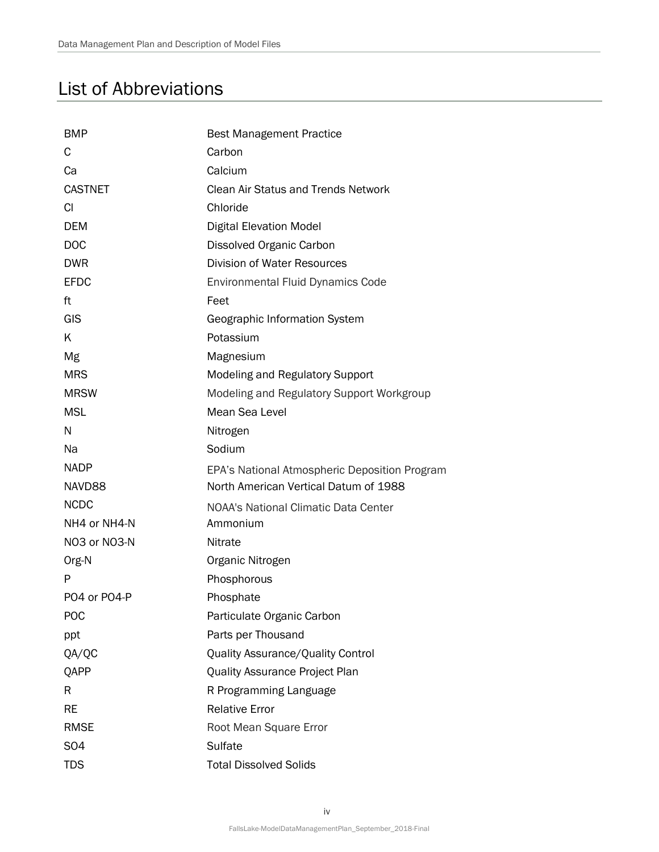## <span id="page-3-0"></span>List of Abbreviations

| <b>BMP</b>       | <b>Best Management Practice</b>               |
|------------------|-----------------------------------------------|
| C                | Carbon                                        |
| Ca               | Calcium                                       |
| <b>CASTNET</b>   | <b>Clean Air Status and Trends Network</b>    |
| CI.              | Chloride                                      |
| <b>DEM</b>       | <b>Digital Elevation Model</b>                |
| <b>DOC</b>       | Dissolved Organic Carbon                      |
| <b>DWR</b>       | <b>Division of Water Resources</b>            |
| <b>EFDC</b>      | <b>Environmental Fluid Dynamics Code</b>      |
| ft               | Feet                                          |
| GIS              | Geographic Information System                 |
| K                | Potassium                                     |
| Mg               | Magnesium                                     |
| <b>MRS</b>       | Modeling and Regulatory Support               |
| <b>MRSW</b>      | Modeling and Regulatory Support Workgroup     |
| <b>MSL</b>       | Mean Sea Level                                |
| N                | Nitrogen                                      |
| Na               | Sodium                                        |
| <b>NADP</b>      | EPA's National Atmospheric Deposition Program |
| NAVD88           | North American Vertical Datum of 1988         |
| <b>NCDC</b>      | <b>NOAA's National Climatic Data Center</b>   |
| NH4 or NH4-N     | Ammonium                                      |
| NO3 or NO3-N     | Nitrate                                       |
| Org-N            | Organic Nitrogen                              |
| P                | Phosphorous                                   |
| PO4 or PO4-P     | Phosphate                                     |
| <b>POC</b>       | Particulate Organic Carbon                    |
| ppt              | Parts per Thousand                            |
| QA/QC            | Quality Assurance/Quality Control             |
| QAPP             | Quality Assurance Project Plan                |
| R                | R Programming Language                        |
| <b>RE</b>        | <b>Relative Error</b>                         |
| <b>RMSE</b>      | Root Mean Square Error                        |
| S <sub>O</sub> 4 | Sulfate                                       |
| <b>TDS</b>       | <b>Total Dissolved Solids</b>                 |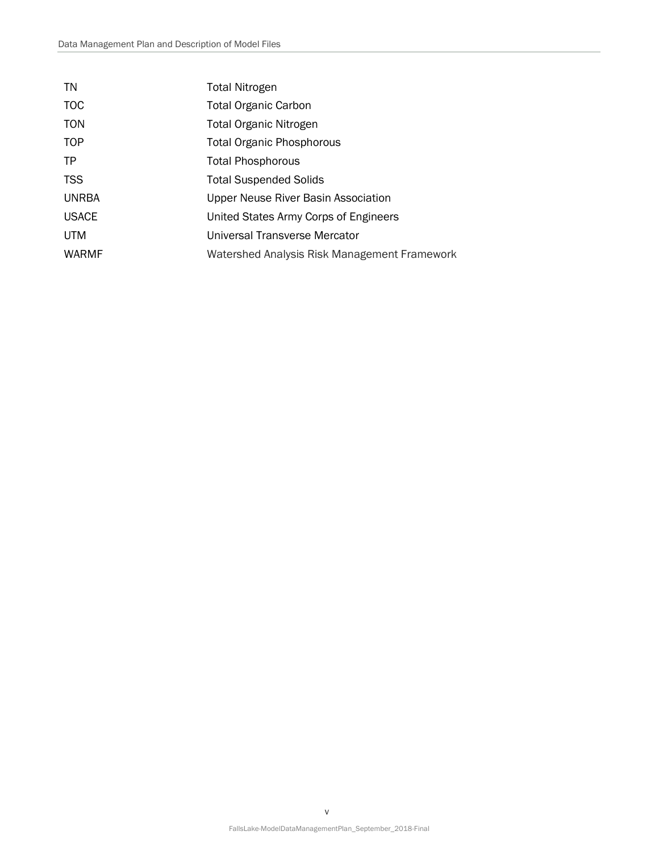| TN           | <b>Total Nitrogen</b>                        |
|--------------|----------------------------------------------|
| <b>TOC</b>   | <b>Total Organic Carbon</b>                  |
| <b>TON</b>   | <b>Total Organic Nitrogen</b>                |
| <b>TOP</b>   | Total Organic Phosphorous                    |
| TP           | <b>Total Phosphorous</b>                     |
| <b>TSS</b>   | <b>Total Suspended Solids</b>                |
| <b>UNRBA</b> | Upper Neuse River Basin Association          |
| <b>USACE</b> | United States Army Corps of Engineers        |
| <b>UTM</b>   | Universal Transverse Mercator                |
| <b>WARMF</b> | Watershed Analysis Risk Management Framework |
|              |                                              |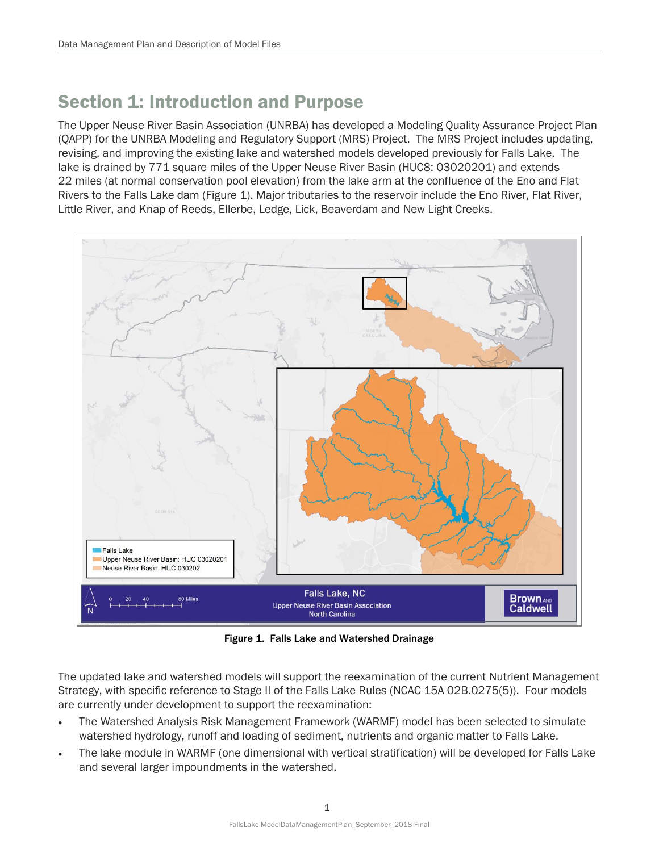## <span id="page-5-0"></span>Section 1: Introduction and Purpose

The Upper Neuse River Basin Association (UNRBA) has developed a Modeling Quality Assurance Project Plan (QAPP) for the UNRBA Modeling and Regulatory Support (MRS) Project. The MRS Project includes updating, revising, and improving the existing lake and watershed models developed previously for Falls Lake. The lake is drained by 771 square miles of the Upper Neuse River Basin (HUC8: 03020201) and extends 22 miles (at normal conservation pool elevation) from the lake arm at the confluence of the Eno and Flat Rivers to the Falls Lake dam (Figure 1). Major tributaries to the reservoir include the Eno River, Flat River, Little River, and Knap of Reeds, Ellerbe, Ledge, Lick, Beaverdam and New Light Creeks.



Figure 1. Falls Lake and Watershed Drainage

<span id="page-5-1"></span>The updated lake and watershed models will support the reexamination of the current Nutrient Management Strategy, with specific reference to Stage II of the Falls Lake Rules (NCAC 15A 02B.0275(5)). Four models are currently under development to support the reexamination:

- The Watershed Analysis Risk Management Framework (WARMF) model has been selected to simulate watershed hydrology, runoff and loading of sediment, nutrients and organic matter to Falls Lake.
- The lake module in WARMF (one dimensional with vertical stratification) will be developed for Falls Lake and several larger impoundments in the watershed.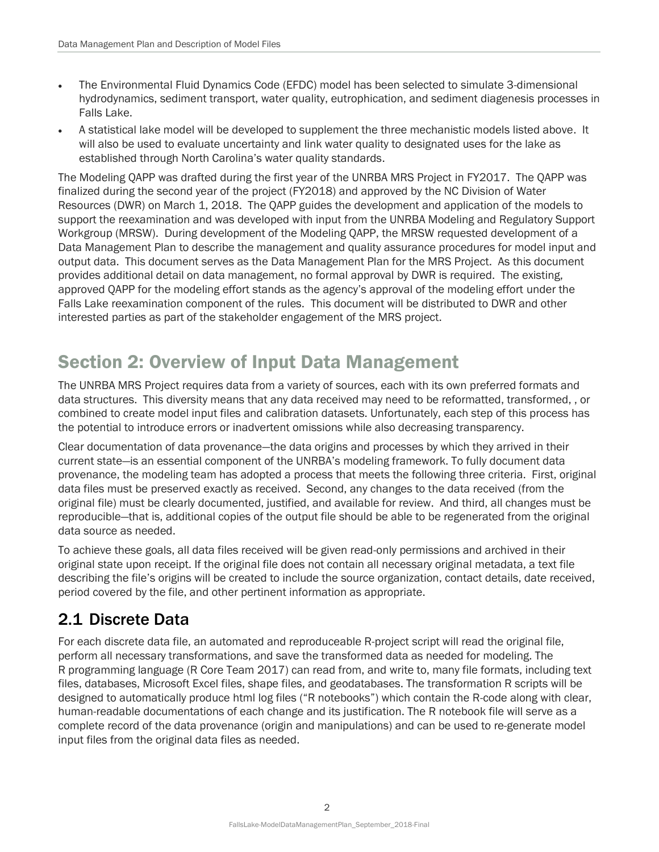- The Environmental Fluid Dynamics Code (EFDC) model has been selected to simulate 3-dimensional hydrodynamics, sediment transport, water quality, eutrophication, and sediment diagenesis processes in Falls Lake.
- A statistical lake model will be developed to supplement the three mechanistic models listed above. It will also be used to evaluate uncertainty and link water quality to designated uses for the lake as established through North Carolina's water quality standards.

The Modeling QAPP was drafted during the first year of the UNRBA MRS Project in FY2017. The QAPP was finalized during the second year of the project (FY2018) and approved by the NC Division of Water Resources (DWR) on March 1, 2018. The QAPP guides the development and application of the models to support the reexamination and was developed with input from the UNRBA Modeling and Regulatory Support Workgroup (MRSW). During development of the Modeling QAPP, the MRSW requested development of a Data Management Plan to describe the management and quality assurance procedures for model input and output data. This document serves as the Data Management Plan for the MRS Project. As this document provides additional detail on data management, no formal approval by DWR is required. The existing, approved QAPP for the modeling effort stands as the agency's approval of the modeling effort under the Falls Lake reexamination component of the rules. This document will be distributed to DWR and other interested parties as part of the stakeholder engagement of the MRS project.

## <span id="page-6-0"></span>Section 2: Overview of Input Data Management

The UNRBA MRS Project requires data from a variety of sources, each with its own preferred formats and data structures. This diversity means that any data received may need to be reformatted, transformed, , or combined to create model input files and calibration datasets. Unfortunately, each step of this process has the potential to introduce errors or inadvertent omissions while also decreasing transparency.

Clear documentation of data provenance—the data origins and processes by which they arrived in their current state—is an essential component of the UNRBA's modeling framework. To fully document data provenance, the modeling team has adopted a process that meets the following three criteria. First, original data files must be preserved exactly as received. Second, any changes to the data received (from the original file) must be clearly documented, justified, and available for review. And third, all changes must be reproducible—that is, additional copies of the output file should be able to be regenerated from the original data source as needed.

To achieve these goals, all data files received will be given read-only permissions and archived in their original state upon receipt. If the original file does not contain all necessary original metadata, a text file describing the file's origins will be created to include the source organization, contact details, date received, period covered by the file, and other pertinent information as appropriate.

## <span id="page-6-1"></span>2.1 Discrete Data

For each discrete data file, an automated and reproduceable R-project script will read the original file, perform all necessary transformations, and save the transformed data as needed for modeling. The R programming language (R Core Team 2017) can read from, and write to, many file formats, including text files, databases, Microsoft Excel files, shape files, and geodatabases. The transformation R scripts will be designed to automatically produce html log files ("R notebooks") which contain the R-code along with clear, human-readable documentations of each change and its justification. The R notebook file will serve as a complete record of the data provenance (origin and manipulations) and can be used to re-generate model input files from the original data files as needed.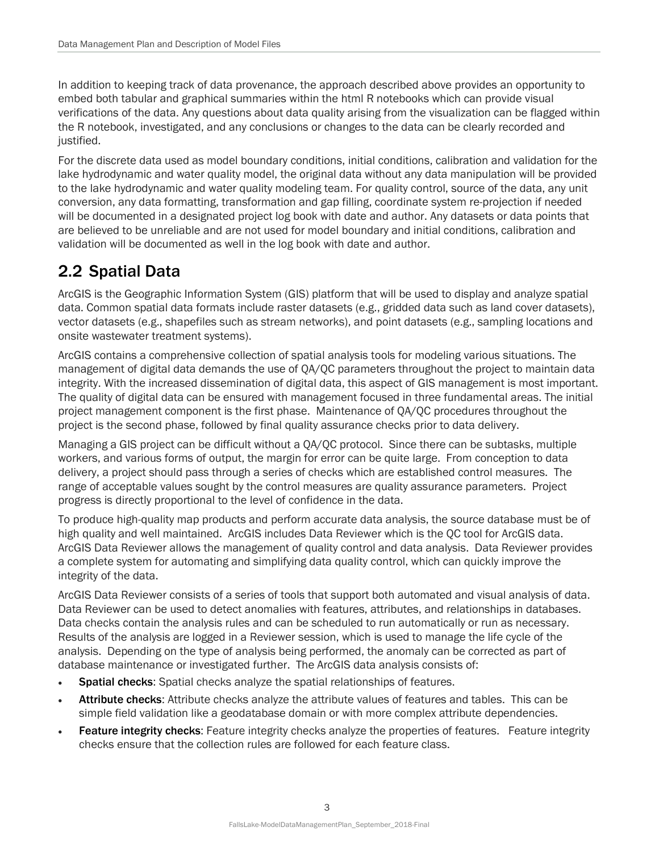In addition to keeping track of data provenance, the approach described above provides an opportunity to embed both tabular and graphical summaries within the html R notebooks which can provide visual verifications of the data. Any questions about data quality arising from the visualization can be flagged within the R notebook, investigated, and any conclusions or changes to the data can be clearly recorded and justified.

For the discrete data used as model boundary conditions, initial conditions, calibration and validation for the lake hydrodynamic and water quality model, the original data without any data manipulation will be provided to the lake hydrodynamic and water quality modeling team. For quality control, source of the data, any unit conversion, any data formatting, transformation and gap filling, coordinate system re-projection if needed will be documented in a designated project log book with date and author. Any datasets or data points that are believed to be unreliable and are not used for model boundary and initial conditions, calibration and validation will be documented as well in the log book with date and author.

## <span id="page-7-0"></span>2.2 Spatial Data

ArcGIS is the Geographic Information System (GIS) platform that will be used to display and analyze spatial data. Common spatial data formats include raster datasets (e.g., gridded data such as land cover datasets), vector datasets (e.g., shapefiles such as stream networks), and point datasets (e.g., sampling locations and onsite wastewater treatment systems).

ArcGIS contains a comprehensive collection of spatial analysis tools for modeling various situations. The management of digital data demands the use of QA/QC parameters throughout the project to maintain data integrity. With the increased dissemination of digital data, this aspect of GIS management is most important. The quality of digital data can be ensured with management focused in three fundamental areas. The initial project management component is the first phase. Maintenance of QA/QC procedures throughout the project is the second phase, followed by final quality assurance checks prior to data delivery.

Managing a GIS project can be difficult without a QA/QC protocol. Since there can be subtasks, multiple workers, and various forms of output, the margin for error can be quite large. From conception to data delivery, a project should pass through a series of checks which are established control measures. The range of acceptable values sought by the control measures are quality assurance parameters. Project progress is directly proportional to the level of confidence in the data.

To produce high-quality map products and perform accurate data analysis, the source database must be of high quality and well maintained. ArcGIS includes Data Reviewer which is the QC tool for ArcGIS data. ArcGIS Data Reviewer allows the management of quality control and data analysis. Data Reviewer provides a complete system for automating and simplifying data quality control, which can quickly improve the integrity of the data.

ArcGIS Data Reviewer consists of a series of tools that support both automated and visual analysis of data. Data Reviewer can be used to detect anomalies with features, attributes, and relationships in databases. Data checks contain the analysis rules and can be scheduled to run automatically or run as necessary. Results of the analysis are logged in a Reviewer session, which is used to manage the life cycle of the analysis. Depending on the type of analysis being performed, the anomaly can be corrected as part of database maintenance or investigated further. The ArcGIS data analysis consists of:

- Spatial checks: Spatial checks analyze the spatial relationships of features.
- Attribute checks: Attribute checks analyze the attribute values of features and tables. This can be simple field validation like a geodatabase domain or with more complex attribute dependencies.
- **Feature integrity checks:** Feature integrity checks analyze the properties of features. Feature integrity checks ensure that the collection rules are followed for each feature class.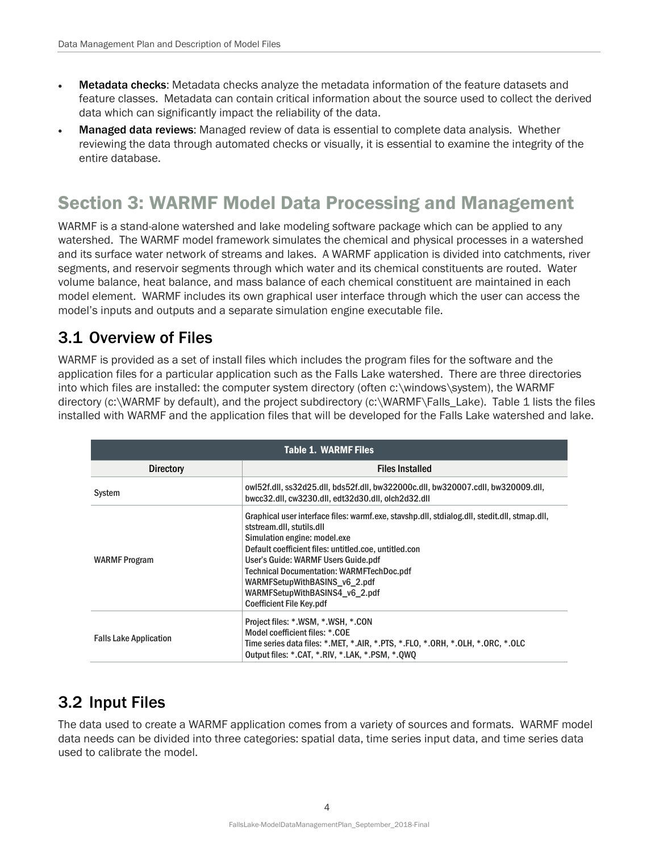- **Metadata checks:** Metadata checks analyze the metadata information of the feature datasets and feature classes. Metadata can contain critical information about the source used to collect the derived data which can significantly impact the reliability of the data.
- **Managed data reviews:** Managed review of data is essential to complete data analysis. Whether reviewing the data through automated checks or visually, it is essential to examine the integrity of the entire database.

## <span id="page-8-0"></span>Section 3: WARMF Model Data Processing and Management

WARMF is a stand-alone watershed and lake modeling software package which can be applied to any watershed. The WARMF model framework simulates the chemical and physical processes in a watershed and its surface water network of streams and lakes. A WARMF application is divided into catchments, river segments, and reservoir segments through which water and its chemical constituents are routed. Water volume balance, heat balance, and mass balance of each chemical constituent are maintained in each model element. WARMF includes its own graphical user interface through which the user can access the model's inputs and outputs and a separate simulation engine executable file.

### <span id="page-8-1"></span>3.1 Overview of Files

WARMF is provided as a set of install files which includes the program files for the software and the application files for a particular application such as the Falls Lake watershed. There are three directories into which files are installed: the computer system directory (often c:\windows\system), the WARMF directory (c:\WARMF by default), and the project subdirectory (c:\WARMF\Falls\_Lake). Table 1 lists the files installed with WARMF and the application files that will be developed for the Falls Lake watershed and lake.

<span id="page-8-3"></span>

| <b>Table 1. WARMF Files</b>   |                                                                                                                                                                                                                                                                                                                                                                                                                     |  |  |  |
|-------------------------------|---------------------------------------------------------------------------------------------------------------------------------------------------------------------------------------------------------------------------------------------------------------------------------------------------------------------------------------------------------------------------------------------------------------------|--|--|--|
| <b>Directory</b>              | <b>Files Installed</b>                                                                                                                                                                                                                                                                                                                                                                                              |  |  |  |
| System                        | owl52f.dll, ss32d25.dll, bds52f.dll, bw322000c.dll, bw320007.cdll, bw320009.dll,<br>bwcc32.dll, cw3230.dll, edt32d30.dll, olch2d32.dll                                                                                                                                                                                                                                                                              |  |  |  |
| WARMF Program                 | Graphical user interface files: warmf.exe, stavshp.dll, stdialog.dll, stedit.dll, stmap.dll,<br>ststream.dll, stutils.dll<br>Simulation engine: model.exe<br>Default coefficient files: untitled.coe, untitled.con<br>User's Guide: WARMF Users Guide.pdf<br><b>Technical Documentation: WARMFTechDoc.pdf</b><br>WARMFSetupWithBASINS v6 2.pdf<br>WARMFSetupWithBASINS4 v6 2.pdf<br><b>Coefficient File Key.pdf</b> |  |  |  |
| <b>Falls Lake Application</b> | Project files: *.WSM, *.WSH, *.CON<br>Model coefficient files: *.COE<br>Time series data files: *.MET, *.AIR, *.PTS, *.FLO, *.ORH, *.OLH, *.ORC, *.OLC<br>Output files: *.CAT, *.RIV, *.LAK, *.PSM, *.QWQ                                                                                                                                                                                                           |  |  |  |

## <span id="page-8-2"></span>3.2 Input Files

The data used to create a WARMF application comes from a variety of sources and formats. WARMF model data needs can be divided into three categories: spatial data, time series input data, and time series data used to calibrate the model.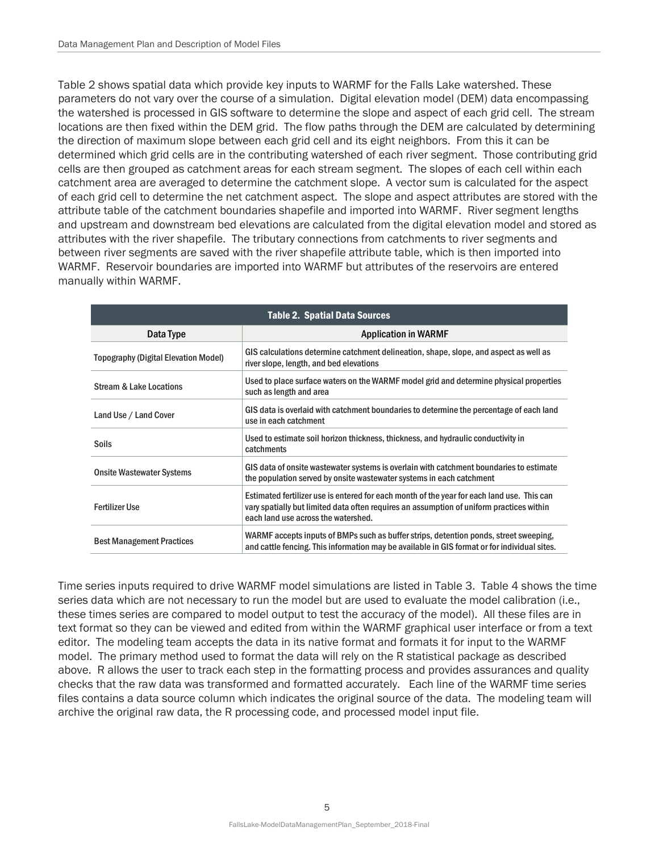Table 2 shows spatial data which provide key inputs to WARMF for the Falls Lake watershed. These parameters do not vary over the course of a simulation. Digital elevation model (DEM) data encompassing the watershed is processed in GIS software to determine the slope and aspect of each grid cell. The stream locations are then fixed within the DEM grid. The flow paths through the DEM are calculated by determining the direction of maximum slope between each grid cell and its eight neighbors. From this it can be determined which grid cells are in the contributing watershed of each river segment. Those contributing grid cells are then grouped as catchment areas for each stream segment. The slopes of each cell within each catchment area are averaged to determine the catchment slope. A vector sum is calculated for the aspect of each grid cell to determine the net catchment aspect. The slope and aspect attributes are stored with the attribute table of the catchment boundaries shapefile and imported into WARMF. River segment lengths and upstream and downstream bed elevations are calculated from the digital elevation model and stored as attributes with the river shapefile. The tributary connections from catchments to river segments and between river segments are saved with the river shapefile attribute table, which is then imported into WARMF. Reservoir boundaries are imported into WARMF but attributes of the reservoirs are entered manually within WARMF.

<span id="page-9-0"></span>

| <b>Table 2. Spatial Data Sources</b>        |                                                                                                                                                                                                                               |  |  |  |
|---------------------------------------------|-------------------------------------------------------------------------------------------------------------------------------------------------------------------------------------------------------------------------------|--|--|--|
| Data Type                                   | <b>Application in WARMF</b>                                                                                                                                                                                                   |  |  |  |
| <b>Topography (Digital Elevation Model)</b> | GIS calculations determine catchment delineation, shape, slope, and aspect as well as<br>river slope, length, and bed elevations                                                                                              |  |  |  |
| <b>Stream &amp; Lake Locations</b>          | Used to place surface waters on the WARMF model grid and determine physical properties<br>such as length and area                                                                                                             |  |  |  |
| Land Use / Land Cover                       | GIS data is overlaid with catchment boundaries to determine the percentage of each land<br>use in each catchment                                                                                                              |  |  |  |
| <b>Soils</b>                                | Used to estimate soil horizon thickness, thickness, and hydraulic conductivity in<br>catchments                                                                                                                               |  |  |  |
| <b>Onsite Wastewater Systems</b>            | GIS data of onsite wastewater systems is overlain with catchment boundaries to estimate<br>the population served by onsite wastewater systems in each catchment                                                               |  |  |  |
| <b>Fertilizer Use</b>                       | Estimated fertilizer use is entered for each month of the year for each land use. This can<br>vary spatially but limited data often requires an assumption of uniform practices within<br>each land use across the watershed. |  |  |  |
| <b>Best Management Practices</b>            | WARMF accepts inputs of BMPs such as buffer strips, detention ponds, street sweeping,<br>and cattle fencing. This information may be available in GIS format or for individual sites.                                         |  |  |  |

Time series inputs required to drive WARMF model simulations are listed in Table 3. Table 4 shows the time series data which are not necessary to run the model but are used to evaluate the model calibration (i.e., these times series are compared to model output to test the accuracy of the model). All these files are in text format so they can be viewed and edited from within the WARMF graphical user interface or from a text editor. The modeling team accepts the data in its native format and formats it for input to the WARMF model. The primary method used to format the data will rely on the R statistical package as described above. R allows the user to track each step in the formatting process and provides assurances and quality checks that the raw data was transformed and formatted accurately. Each line of the WARMF time series files contains a data source column which indicates the original source of the data. The modeling team will archive the original raw data, the R processing code, and processed model input file.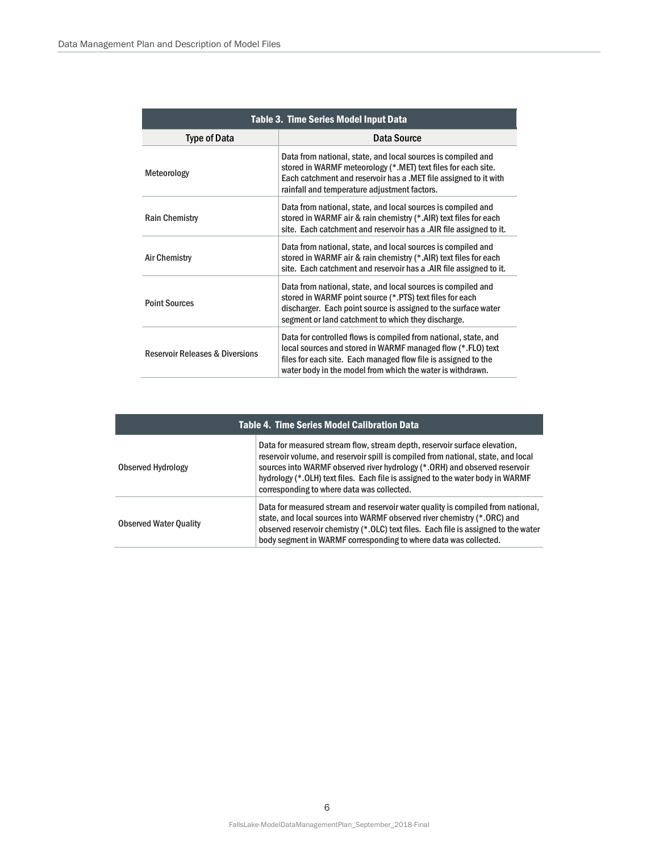<span id="page-10-0"></span>

| Table 3. Time Series Model Input Data      |                                                                                                                                                                                                                                                                |  |  |  |
|--------------------------------------------|----------------------------------------------------------------------------------------------------------------------------------------------------------------------------------------------------------------------------------------------------------------|--|--|--|
| <b>Type of Data</b>                        | Data Source                                                                                                                                                                                                                                                    |  |  |  |
| Meteorology                                | Data from national, state, and local sources is compiled and<br>stored in WARMF meteorology (*.MET) text files for each site.<br>Each catchment and reservoir has a .MET file assigned to it with<br>rainfall and temperature adjustment factors.              |  |  |  |
| <b>Rain Chemistry</b>                      | Data from national, state, and local sources is compiled and<br>stored in WARMF air & rain chemistry (*.AIR) text files for each<br>site. Each catchment and reservoir has a .AIR file assigned to it.                                                         |  |  |  |
| <b>Air Chemistry</b>                       | Data from national, state, and local sources is compiled and<br>stored in WARMF air & rain chemistry (*.AIR) text files for each<br>site. Each catchment and reservoir has a .AIR file assigned to it.                                                         |  |  |  |
| <b>Point Sources</b>                       | Data from national, state, and local sources is compiled and<br>stored in WARMF point source (*.PTS) text files for each<br>discharger. Each point source is assigned to the surface water<br>segment or land catchment to which they discharge.               |  |  |  |
| <b>Reservoir Releases &amp; Diversions</b> | Data for controlled flows is compiled from national, state, and<br>local sources and stored in WARMF managed flow (*.FLO) text<br>files for each site. Each managed flow file is assigned to the<br>water body in the model from which the water is withdrawn. |  |  |  |

<span id="page-10-1"></span>

| <b>Table 4. Time Series Model Calibration Data</b> |                                                                                                                                                                                                                                                                                                                                                                                |  |  |  |
|----------------------------------------------------|--------------------------------------------------------------------------------------------------------------------------------------------------------------------------------------------------------------------------------------------------------------------------------------------------------------------------------------------------------------------------------|--|--|--|
| Observed Hydrology                                 | Data for measured stream flow, stream depth, reservoir surface elevation,<br>reservoir volume, and reservoir spill is compiled from national, state, and local<br>sources into WARMF observed river hydrology (*. ORH) and observed reservoir<br>hydrology (*. OLH) text files. Each file is assigned to the water body in WARMF<br>corresponding to where data was collected. |  |  |  |
| <b>Observed Water Quality</b>                      | Data for measured stream and reservoir water quality is compiled from national.<br>state, and local sources into WARMF observed river chemistry (*.ORC) and<br>observed reservoir chemistry (*. OLC) text files. Each file is assigned to the water<br>body segment in WARMF corresponding to where data was collected.                                                        |  |  |  |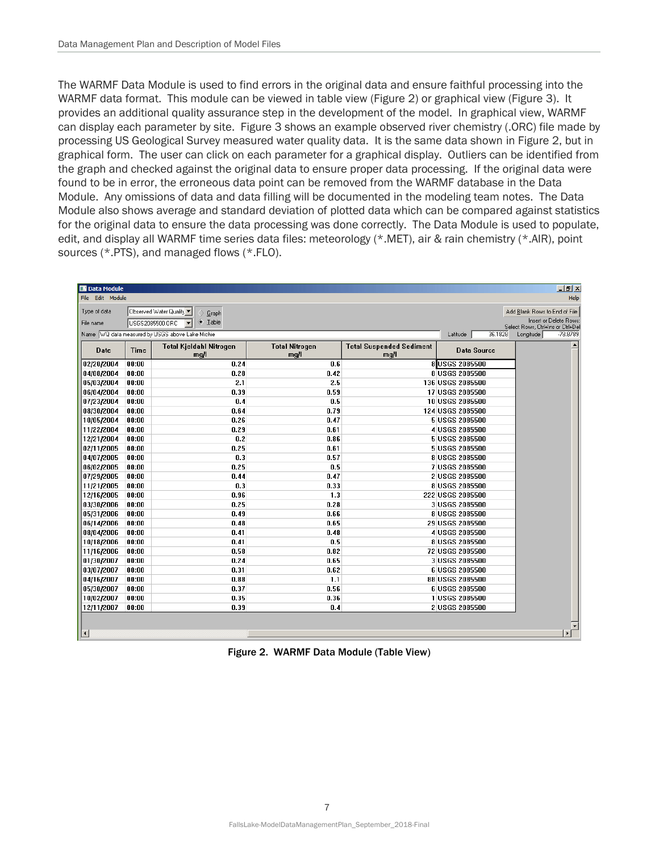The WARMF Data Module is used to find errors in the original data and ensure faithful processing into the WARMF data format. This module can be viewed in table view (Figure 2) or graphical view (Figure 3). It provides an additional quality assurance step in the development of the model. In graphical view, WARMF can display each parameter by site. Figure 3 shows an example observed river chemistry (.ORC) file made by processing US Geological Survey measured water quality data. It is the same data shown in Figure 2, but in graphical form. The user can click on each parameter for a graphical display. Outliers can be identified from the graph and checked against the original data to ensure proper data processing. If the original data were found to be in error, the erroneous data point can be removed from the WARMF database in the Data Module. Any omissions of data and data filling will be documented in the modeling team notes. The Data Module also shows average and standard deviation of plotted data which can be compared against statistics for the original data to ensure the data processing was done correctly. The Data Module is used to populate, edit, and display all WARMF time series data files: meteorology (\*.MET), air & rain chemistry (\*.AIR), point sources (\*.PTS), and managed flows (\*.FLO).

| <b>DO</b> Data Module<br>$-10$ $\times$                                                                                 |                                                                                                                                                                            |                                        |                               |                                         |                                  |                    |  |              |
|-------------------------------------------------------------------------------------------------------------------------|----------------------------------------------------------------------------------------------------------------------------------------------------------------------------|----------------------------------------|-------------------------------|-----------------------------------------|----------------------------------|--------------------|--|--------------|
| File Edit Module<br>Help                                                                                                |                                                                                                                                                                            |                                        |                               |                                         |                                  |                    |  |              |
| Type of data<br>File name                                                                                               | Observed Water Quality<br>Add Blank Rows to End of File<br>Graph<br>Insert or Delete Rows:<br>$\begin{array}{cc} \leftarrow & \text{Table} \end{array}$<br>USGS2085500.ORC |                                        |                               |                                         |                                  |                    |  |              |
| Select Rows, Ctrl+Ins or Ctrl+De<br>Name WQ data measured by USGS above Lake Michie<br>36.1828<br>Longitude<br>Latitude |                                                                                                                                                                            |                                        |                               |                                         |                                  |                    |  | $-78.8789$   |
| Date                                                                                                                    | <b>Time</b>                                                                                                                                                                | <b>Total Kjeldahl Nitrogen</b><br>mg/l | <b>Total Nitrogen</b><br>mg/l | <b>Total Suspended Sediment</b><br>mg/l |                                  | <b>Data Source</b> |  |              |
| 02/20/2004                                                                                                              | 00:00                                                                                                                                                                      | 0.24                                   | 0.6                           |                                         | 8 USGS 2085500                   |                    |  |              |
| 04/08/2004                                                                                                              | 00:00                                                                                                                                                                      | 0.28                                   | 0.42                          |                                         | 8 USGS 2085500                   |                    |  |              |
| 05/03/2004                                                                                                              | 00:00                                                                                                                                                                      | 2.1                                    | 2.5                           |                                         | 136 USGS 2085500                 |                    |  |              |
| 06/04/2004                                                                                                              | 00:00                                                                                                                                                                      | 0.39                                   | 0.59                          |                                         | 17 USGS 2085500                  |                    |  |              |
| 07/23/2004                                                                                                              | 00:00                                                                                                                                                                      | 0.4                                    | 0.5                           |                                         | 10 USGS 2085500                  |                    |  |              |
| 08/30/2004                                                                                                              | 00:00                                                                                                                                                                      | 0.64                                   | 0.79                          |                                         | 124 USGS 2085500                 |                    |  |              |
| 10/05/2004                                                                                                              | 00:00                                                                                                                                                                      | 0.26                                   | 0.47                          |                                         | 5 USGS 2085500                   |                    |  |              |
| 11/22/2004                                                                                                              | 00:00                                                                                                                                                                      | 0.29                                   | 0.61                          |                                         | 4 USGS 2085500                   |                    |  |              |
| 12/21/2004                                                                                                              | 00:00                                                                                                                                                                      | 0.2                                    | 0.86                          |                                         | 5 USGS 2085500                   |                    |  |              |
| 02/11/2005                                                                                                              | 00:00                                                                                                                                                                      | 0.25<br>0.3                            | 0.61                          |                                         | 5 USGS 2085500                   |                    |  |              |
| 04/07/2005                                                                                                              | 00:00<br>00:00                                                                                                                                                             | 0.25                                   | 0.57                          |                                         | 8 USGS 2085500<br>7 USGS 2085500 |                    |  |              |
| 06/02/2005<br>07/29/2005                                                                                                | 00:00                                                                                                                                                                      | 0.44                                   | 0.5<br>0.47                   |                                         | 2 USGS 2085500                   |                    |  |              |
| 11/21/2005                                                                                                              | 00:00                                                                                                                                                                      | 0.3                                    | 0.33                          |                                         | 8 USGS 2085500                   |                    |  |              |
| 12/16/2005                                                                                                              | 00:00                                                                                                                                                                      | 0.96                                   | 1.3                           |                                         | 222 USGS 2085500                 |                    |  |              |
| 03/30/2006                                                                                                              | 00:00                                                                                                                                                                      | 0.25                                   | 0.28                          |                                         | 3 USGS 2085500                   |                    |  |              |
| 05/31/2006                                                                                                              | 00:00                                                                                                                                                                      | 0.49                                   | 0.66                          |                                         | 8 USGS 2085500                   |                    |  |              |
| 06/14/2006                                                                                                              | 00:00                                                                                                                                                                      | 0.48                                   | 0.65                          |                                         | 29 USGS 2085500                  |                    |  |              |
| 08/04/2006                                                                                                              | 00:00                                                                                                                                                                      | 0.41                                   | 0.48                          |                                         | 4 USGS 2085500                   |                    |  |              |
| 10/18/2006                                                                                                              | 00:00                                                                                                                                                                      | 0.41                                   | 0.5                           |                                         | 8 USGS 2085500                   |                    |  |              |
| 11/16/2006                                                                                                              | 00:00                                                                                                                                                                      | 0.58                                   | 0.82                          |                                         | 72 USGS 2085500                  |                    |  |              |
| 01/30/2007                                                                                                              | 00:00                                                                                                                                                                      | 0.24                                   | 0.65                          |                                         | 3 USGS 2085500                   |                    |  |              |
| 03/07/2007                                                                                                              | 00:00                                                                                                                                                                      | 0.31                                   | 0.62                          |                                         | 6 USGS 2085500                   |                    |  |              |
| 04/16/2007                                                                                                              | 00:00                                                                                                                                                                      | 0.88                                   | 1.1                           |                                         | 88 USGS 2085500                  |                    |  |              |
| 05/30/2007                                                                                                              | 00:00                                                                                                                                                                      | 0.37                                   | 0.56                          |                                         | 6 USGS 2085500                   |                    |  |              |
| 10/02/2007                                                                                                              | 00:00                                                                                                                                                                      | 0.35                                   | 0.36                          |                                         | 1 USGS 2085500                   |                    |  |              |
| 12/11/2007                                                                                                              | 00:00                                                                                                                                                                      | 0.39                                   | 0.4                           |                                         | 2 USGS 2085500                   |                    |  |              |
|                                                                                                                         |                                                                                                                                                                            |                                        |                               |                                         |                                  |                    |  |              |
|                                                                                                                         |                                                                                                                                                                            |                                        |                               |                                         |                                  |                    |  |              |
| $\left  \cdot \right $                                                                                                  |                                                                                                                                                                            |                                        |                               |                                         |                                  |                    |  | $\mathbf{E}$ |

<span id="page-11-0"></span>Figure 2. WARMF Data Module (Table View)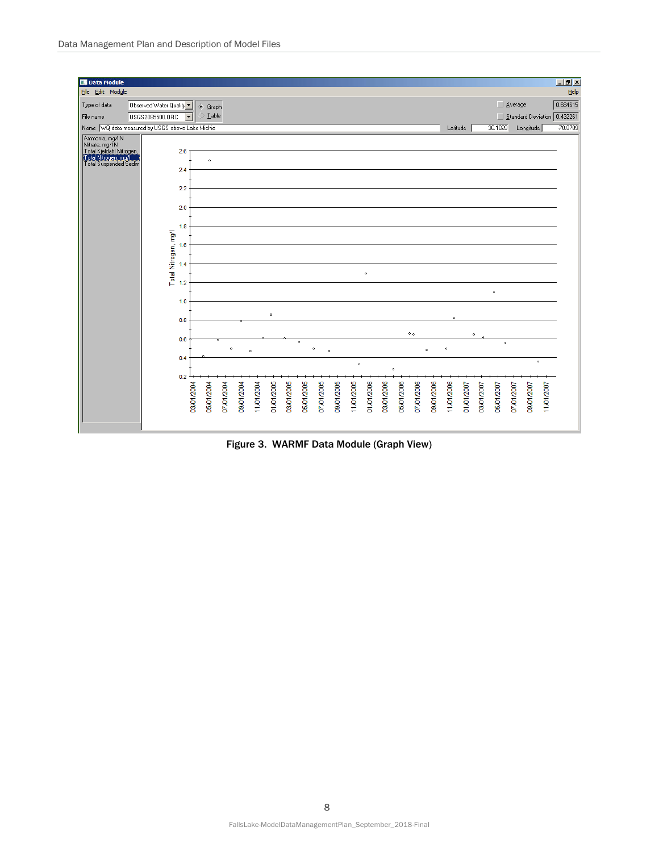

<span id="page-12-0"></span>Figure 3. WARMF Data Module (Graph View)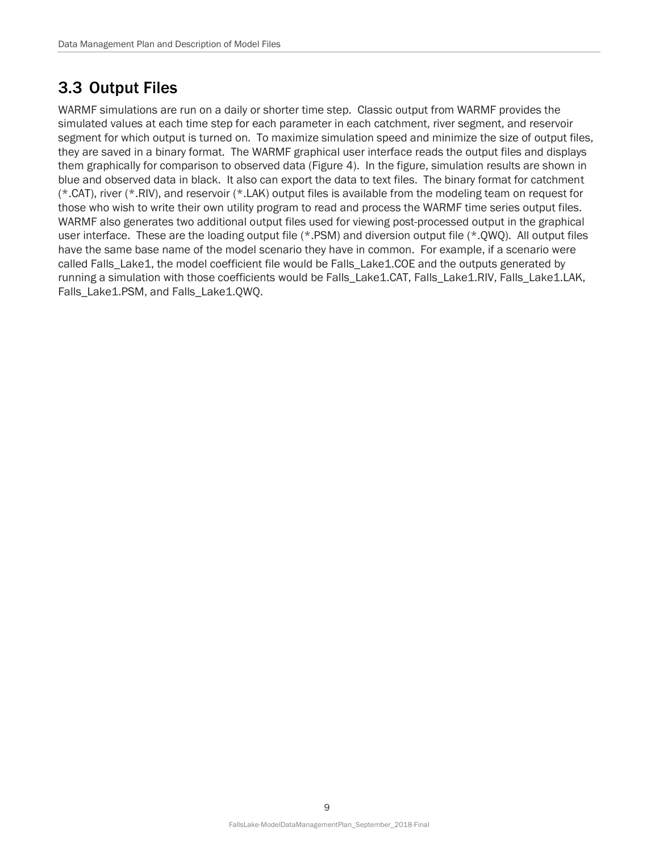### <span id="page-13-0"></span>3.3 Output Files

WARMF simulations are run on a daily or shorter time step. Classic output from WARMF provides the simulated values at each time step for each parameter in each catchment, river segment, and reservoir segment for which output is turned on. To maximize simulation speed and minimize the size of output files, they are saved in a binary format. The WARMF graphical user interface reads the output files and displays them graphically for comparison to observed data (Figure 4). In the figure, simulation results are shown in blue and observed data in black. It also can export the data to text files. The binary format for catchment (\*.CAT), river (\*.RIV), and reservoir (\*.LAK) output files is available from the modeling team on request for those who wish to write their own utility program to read and process the WARMF time series output files. WARMF also generates two additional output files used for viewing post-processed output in the graphical user interface. These are the loading output file (\*.PSM) and diversion output file (\*.QWQ). All output files have the same base name of the model scenario they have in common. For example, if a scenario were called Falls\_Lake1, the model coefficient file would be Falls\_Lake1.COE and the outputs generated by running a simulation with those coefficients would be Falls\_Lake1.CAT, Falls\_Lake1.RIV, Falls\_Lake1.LAK, Falls\_Lake1.PSM, and Falls\_Lake1.0WO.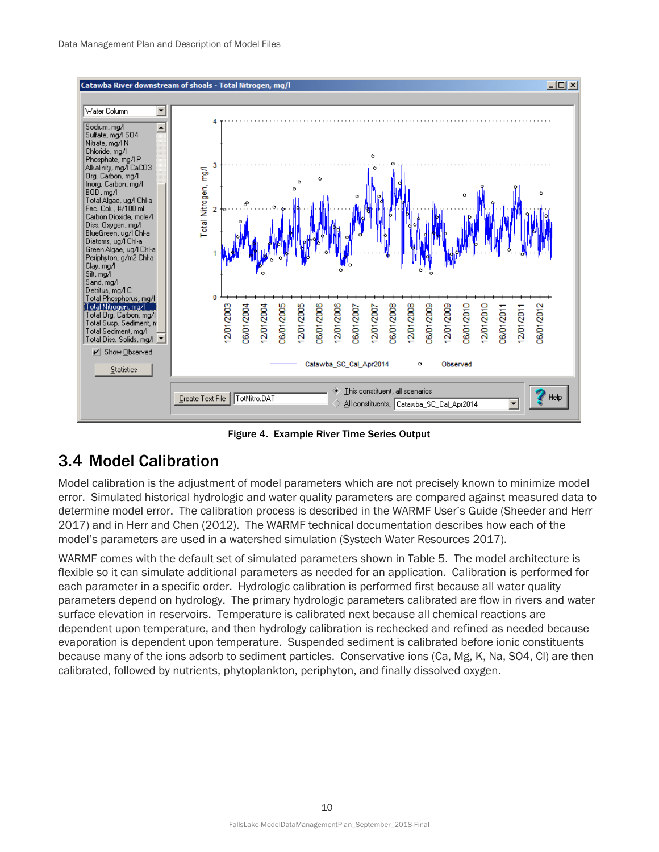

Figure 4. Example River Time Series Output

## <span id="page-14-1"></span><span id="page-14-0"></span>3.4 Model Calibration

Model calibration is the adjustment of model parameters which are not precisely known to minimize model error. Simulated historical hydrologic and water quality parameters are compared against measured data to determine model error. The calibration process is described in the WARMF User's Guide (Sheeder and Herr 2017) and in Herr and Chen (2012). The WARMF technical documentation describes how each of the model's parameters are used in a watershed simulation (Systech Water Resources 2017).

WARMF comes with the default set of simulated parameters shown in Table 5. The model architecture is flexible so it can simulate additional parameters as needed for an application. Calibration is performed for each parameter in a specific order. Hydrologic calibration is performed first because all water quality parameters depend on hydrology. The primary hydrologic parameters calibrated are flow in rivers and water surface elevation in reservoirs. Temperature is calibrated next because all chemical reactions are dependent upon temperature, and then hydrology calibration is rechecked and refined as needed because evaporation is dependent upon temperature. Suspended sediment is calibrated before ionic constituents because many of the ions adsorb to sediment particles. Conservative ions (Ca, Mg, K, Na, SO4, Cl) are then calibrated, followed by nutrients, phytoplankton, periphyton, and finally dissolved oxygen.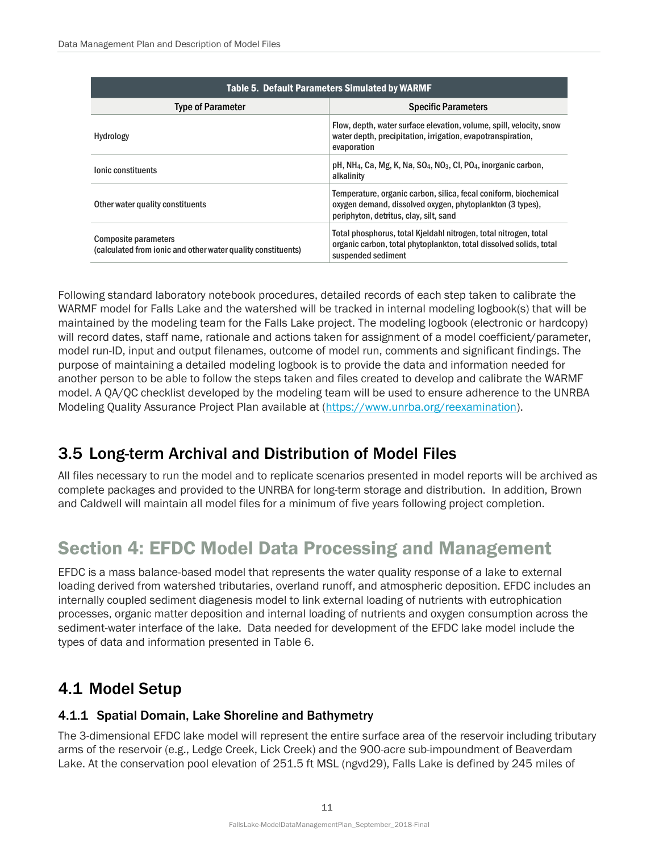<span id="page-15-4"></span>

| <b>Table 5. Default Parameters Simulated by WARMF</b>                                |                                                                                                                                                                         |  |  |  |
|--------------------------------------------------------------------------------------|-------------------------------------------------------------------------------------------------------------------------------------------------------------------------|--|--|--|
| <b>Type of Parameter</b>                                                             | <b>Specific Parameters</b>                                                                                                                                              |  |  |  |
| Hydrology                                                                            | Flow, depth, water surface elevation, volume, spill, velocity, snow<br>water depth, precipitation, irrigation, evapotranspiration,<br>evaporation                       |  |  |  |
| lonic constituents                                                                   | pH, NH <sub>4</sub> , Ca, Mg, K, Na, SO <sub>4</sub> , NO <sub>3</sub> , CI, PO <sub>4</sub> , inorganic carbon,<br>alkalinity                                          |  |  |  |
| Other water quality constituents                                                     | Temperature, organic carbon, silica, fecal coniform, biochemical<br>oxygen demand, dissolved oxygen, phytoplankton (3 types),<br>periphyton, detritus, clay, silt, sand |  |  |  |
| Composite parameters<br>(calculated from ionic and other water quality constituents) | Total phosphorus, total Kjeldahl nitrogen, total nitrogen, total<br>organic carbon, total phytoplankton, total dissolved solids, total<br>suspended sediment            |  |  |  |

Following standard laboratory notebook procedures, detailed records of each step taken to calibrate the WARMF model for Falls Lake and the watershed will be tracked in internal modeling logbook(s) that will be maintained by the modeling team for the Falls Lake project. The modeling logbook (electronic or hardcopy) will record dates, staff name, rationale and actions taken for assignment of a model coefficient/parameter, model run-ID, input and output filenames, outcome of model run, comments and significant findings. The purpose of maintaining a detailed modeling logbook is to provide the data and information needed for another person to be able to follow the steps taken and files created to develop and calibrate the WARMF model. A QA/QC checklist developed by the modeling team will be used to ensure adherence to the UNRBA Modeling Quality Assurance Project Plan available at [\(https://www.unrba.org/reexamination\)](https://www.unrba.org/reexamination).

### <span id="page-15-0"></span>3.5 Long-term Archival and Distribution of Model Files

All files necessary to run the model and to replicate scenarios presented in model reports will be archived as complete packages and provided to the UNRBA for long-term storage and distribution. In addition, Brown and Caldwell will maintain all model files for a minimum of five years following project completion.

## <span id="page-15-1"></span>Section 4: EFDC Model Data Processing and Management

EFDC is a mass balance-based model that represents the water quality response of a lake to external loading derived from watershed tributaries, overland runoff, and atmospheric deposition. EFDC includes an internally coupled sediment diagenesis model to link external loading of nutrients with eutrophication processes, organic matter deposition and internal loading of nutrients and oxygen consumption across the sediment-water interface of the lake. Data needed for development of the EFDC lake model include the types of data and information presented in Table 6.

### <span id="page-15-2"></span>4.1 Model Setup

#### <span id="page-15-3"></span>4.1.1 Spatial Domain, Lake Shoreline and Bathymetry

The 3-dimensional EFDC lake model will represent the entire surface area of the reservoir including tributary arms of the reservoir (e.g., Ledge Creek, Lick Creek) and the 900-acre sub-impoundment of Beaverdam Lake. At the conservation pool elevation of 251.5 ft MSL (ngvd29), Falls Lake is defined by 245 miles of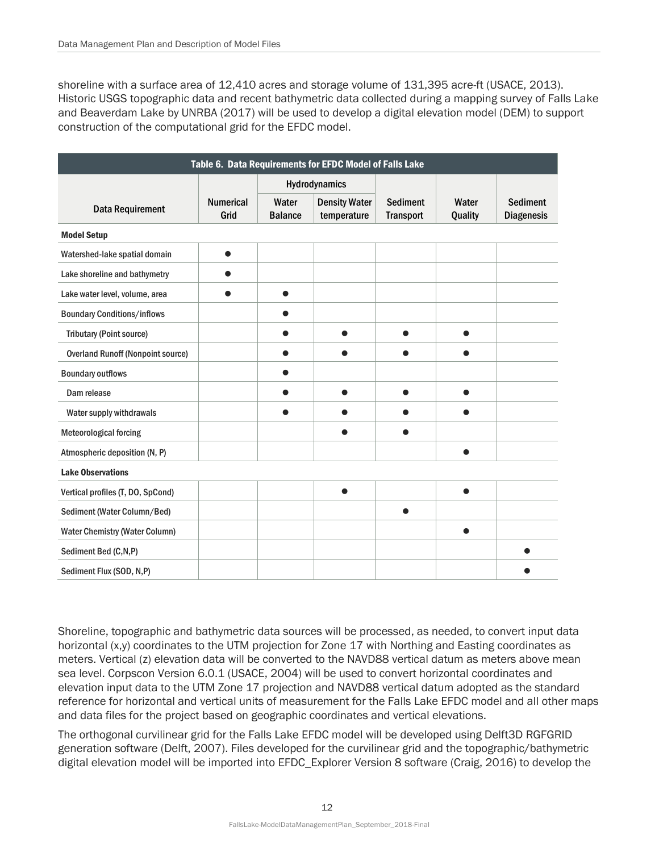shoreline with a surface area of 12,410 acres and storage volume of 131,395 acre-ft (USACE, 2013). Historic USGS topographic data and recent bathymetric data collected during a mapping survey of Falls Lake and Beaverdam Lake by UNRBA (2017) will be used to develop a digital elevation model (DEM) to support construction of the computational grid for the EFDC model.

<span id="page-16-0"></span>

| Table 6. Data Requirements for EFDC Model of Falls Lake |                          |                         |                                     |                                     |                  |                                      |  |  |  |
|---------------------------------------------------------|--------------------------|-------------------------|-------------------------------------|-------------------------------------|------------------|--------------------------------------|--|--|--|
|                                                         |                          | Hydrodynamics           |                                     |                                     |                  |                                      |  |  |  |
| <b>Data Requirement</b>                                 | <b>Numerical</b><br>Grid | Water<br><b>Balance</b> | <b>Density Water</b><br>temperature | <b>Sediment</b><br><b>Transport</b> | Water<br>Quality | <b>Sediment</b><br><b>Diagenesis</b> |  |  |  |
| <b>Model Setup</b>                                      |                          |                         |                                     |                                     |                  |                                      |  |  |  |
| Watershed-lake spatial domain                           | $\bullet$                |                         |                                     |                                     |                  |                                      |  |  |  |
| Lake shoreline and bathymetry                           | O                        |                         |                                     |                                     |                  |                                      |  |  |  |
| Lake water level, volume, area                          |                          | $\bullet$               |                                     |                                     |                  |                                      |  |  |  |
| <b>Boundary Conditions/inflows</b>                      |                          |                         |                                     |                                     |                  |                                      |  |  |  |
| <b>Tributary (Point source)</b>                         |                          |                         |                                     |                                     |                  |                                      |  |  |  |
| <b>Overland Runoff (Nonpoint source)</b>                |                          |                         |                                     |                                     |                  |                                      |  |  |  |
| <b>Boundary outflows</b>                                |                          |                         |                                     |                                     |                  |                                      |  |  |  |
| Dam release                                             |                          |                         | ●                                   | ●                                   | ●                |                                      |  |  |  |
| Water supply withdrawals                                |                          |                         |                                     |                                     |                  |                                      |  |  |  |
| <b>Meteorological forcing</b>                           |                          |                         |                                     |                                     |                  |                                      |  |  |  |
| Atmospheric deposition (N, P)                           |                          |                         |                                     |                                     | $\bullet$        |                                      |  |  |  |
| <b>Lake Observations</b>                                |                          |                         |                                     |                                     |                  |                                      |  |  |  |
| Vertical profiles (T, DO, SpCond)                       |                          |                         |                                     |                                     |                  |                                      |  |  |  |
| Sediment (Water Column/Bed)                             |                          |                         |                                     |                                     |                  |                                      |  |  |  |
| <b>Water Chemistry (Water Column)</b>                   |                          |                         |                                     |                                     | ●                |                                      |  |  |  |
| Sediment Bed (C,N,P)                                    |                          |                         |                                     |                                     |                  |                                      |  |  |  |
| Sediment Flux (SOD, N,P)                                |                          |                         |                                     |                                     |                  |                                      |  |  |  |

Shoreline, topographic and bathymetric data sources will be processed, as needed, to convert input data horizontal (x,y) coordinates to the UTM projection for Zone 17 with Northing and Easting coordinates as meters. Vertical (z) elevation data will be converted to the NAVD88 vertical datum as meters above mean sea level. Corpscon Version 6.0.1 (USACE, 2004) will be used to convert horizontal coordinates and elevation input data to the UTM Zone 17 projection and NAVD88 vertical datum adopted as the standard reference for horizontal and vertical units of measurement for the Falls Lake EFDC model and all other maps and data files for the project based on geographic coordinates and vertical elevations.

The orthogonal curvilinear grid for the Falls Lake EFDC model will be developed using Delft3D RGFGRID generation software (Delft, 2007). Files developed for the curvilinear grid and the topographic/bathymetric digital elevation model will be imported into EFDC\_Explorer Version 8 software (Craig, 2016) to develop the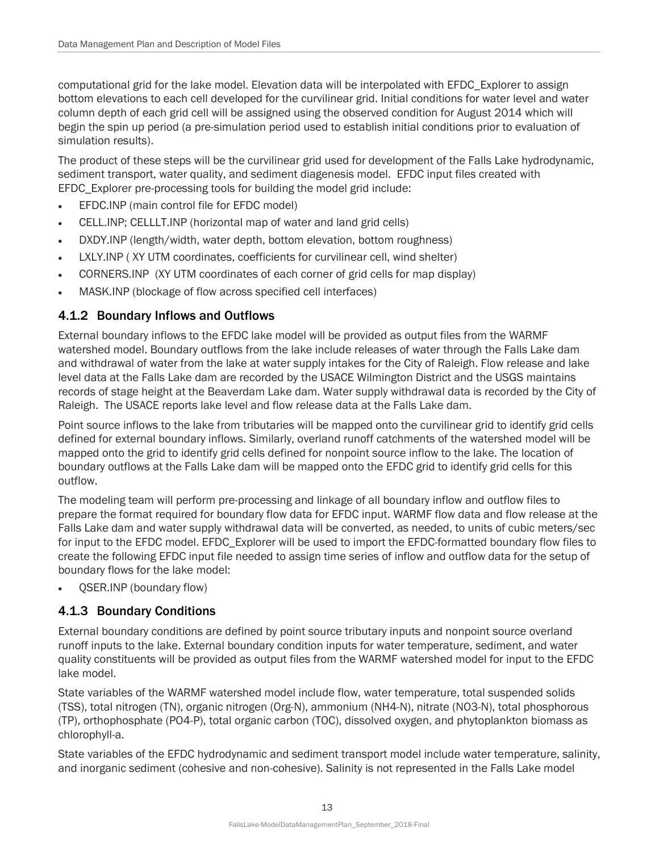computational grid for the lake model. Elevation data will be interpolated with EFDC\_Explorer to assign bottom elevations to each cell developed for the curvilinear grid. Initial conditions for water level and water column depth of each grid cell will be assigned using the observed condition for August 2014 which will begin the spin up period (a pre-simulation period used to establish initial conditions prior to evaluation of simulation results).

The product of these steps will be the curvilinear grid used for development of the Falls Lake hydrodynamic, sediment transport, water quality, and sediment diagenesis model. EFDC input files created with EFDC\_Explorer pre-processing tools for building the model grid include:

- EFDC.INP (main control file for EFDC model)
- CELL.INP; CELLLT.INP (horizontal map of water and land grid cells)
- DXDY.INP (length/width, water depth, bottom elevation, bottom roughness)
- LXLY.INP ( XY UTM coordinates, coefficients for curvilinear cell, wind shelter)
- CORNERS.INP (XY UTM coordinates of each corner of grid cells for map display)
- MASK.INP (blockage of flow across specified cell interfaces)

#### <span id="page-17-0"></span>4.1.2 Boundary Inflows and Outflows

External boundary inflows to the EFDC lake model will be provided as output files from the WARMF watershed model. Boundary outflows from the lake include releases of water through the Falls Lake dam and withdrawal of water from the lake at water supply intakes for the City of Raleigh. Flow release and lake level data at the Falls Lake dam are recorded by the USACE Wilmington District and the USGS maintains records of stage height at the Beaverdam Lake dam. Water supply withdrawal data is recorded by the City of Raleigh. The USACE reports lake level and flow release data at the Falls Lake dam.

Point source inflows to the lake from tributaries will be mapped onto the curvilinear grid to identify grid cells defined for external boundary inflows. Similarly, overland runoff catchments of the watershed model will be mapped onto the grid to identify grid cells defined for nonpoint source inflow to the lake. The location of boundary outflows at the Falls Lake dam will be mapped onto the EFDC grid to identify grid cells for this outflow.

The modeling team will perform pre-processing and linkage of all boundary inflow and outflow files to prepare the format required for boundary flow data for EFDC input. WARMF flow data and flow release at the Falls Lake dam and water supply withdrawal data will be converted, as needed, to units of cubic meters/sec for input to the EFDC model. EFDC\_Explorer will be used to import the EFDC-formatted boundary flow files to create the following EFDC input file needed to assign time series of inflow and outflow data for the setup of boundary flows for the lake model:

• QSER.INP (boundary flow)

#### <span id="page-17-1"></span>4.1.3 Boundary Conditions

External boundary conditions are defined by point source tributary inputs and nonpoint source overland runoff inputs to the lake. External boundary condition inputs for water temperature, sediment, and water quality constituents will be provided as output files from the WARMF watershed model for input to the EFDC lake model.

State variables of the WARMF watershed model include flow, water temperature, total suspended solids (TSS), total nitrogen (TN), organic nitrogen (Org-N), ammonium (NH4-N), nitrate (NO3-N), total phosphorous (TP), orthophosphate (PO4-P), total organic carbon (TOC), dissolved oxygen, and phytoplankton biomass as chlorophyll-a.

State variables of the EFDC hydrodynamic and sediment transport model include water temperature, salinity, and inorganic sediment (cohesive and non-cohesive). Salinity is not represented in the Falls Lake model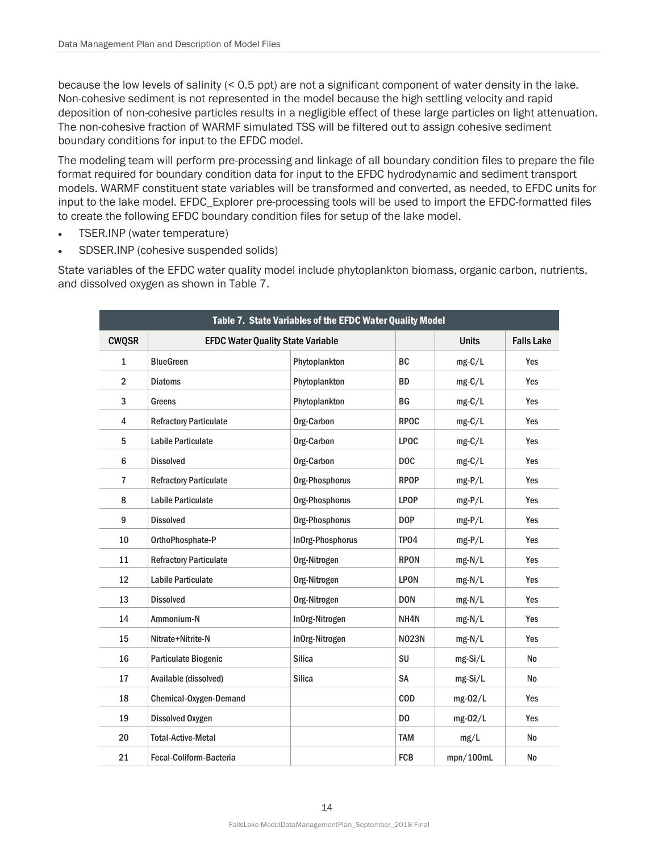because the low levels of salinity (< 0.5 ppt) are not a significant component of water density in the lake. Non-cohesive sediment is not represented in the model because the high settling velocity and rapid deposition of non-cohesive particles results in a negligible effect of these large particles on light attenuation. The non-cohesive fraction of WARMF simulated TSS will be filtered out to assign cohesive sediment boundary conditions for input to the EFDC model.

The modeling team will perform pre-processing and linkage of all boundary condition files to prepare the file format required for boundary condition data for input to the EFDC hydrodynamic and sediment transport models. WARMF constituent state variables will be transformed and converted, as needed, to EFDC units for input to the lake model. EFDC\_Explorer pre-processing tools will be used to import the EFDC-formatted files to create the following EFDC boundary condition files for setup of the lake model.

- TSER.INP (water temperature)
- SDSER.INP (cohesive suspended solids)

State variables of the EFDC water quality model include phytoplankton biomass, organic carbon, nutrients, and dissolved oxygen as shown in Table 7.

<span id="page-18-0"></span>

| Table 7. State Variables of the EFDC Water Quality Model |                                          |                  |                |              |                   |  |  |  |  |
|----------------------------------------------------------|------------------------------------------|------------------|----------------|--------------|-------------------|--|--|--|--|
| <b>CWQSR</b>                                             | <b>EFDC Water Quality State Variable</b> |                  |                | <b>Units</b> | <b>Falls Lake</b> |  |  |  |  |
| $\mathbf{1}$                                             | <b>BlueGreen</b>                         | Phytoplankton    | <b>BC</b>      | $mg-C/L$     | Yes               |  |  |  |  |
| $\overline{2}$                                           | <b>Diatoms</b>                           | Phytoplankton    | <b>BD</b>      | $mg-C/L$     | Yes               |  |  |  |  |
| 3                                                        | Greens                                   | Phytoplankton    | BG             | $mg-C/L$     | Yes               |  |  |  |  |
| 4                                                        | <b>Refractory Particulate</b>            | Org-Carbon       | <b>RPOC</b>    | $mg-C/L$     | Yes               |  |  |  |  |
| 5                                                        | <b>Labile Particulate</b>                | Org-Carbon       | <b>LPOC</b>    | $mg-C/L$     | Yes               |  |  |  |  |
| $6\phantom{1}$                                           | <b>Dissolved</b>                         | Org-Carbon       | <b>DOC</b>     | $mg-C/L$     | Yes               |  |  |  |  |
| $\overline{1}$                                           | <b>Refractory Particulate</b>            | Org-Phosphorus   | <b>RPOP</b>    | $mg-P/L$     | Yes               |  |  |  |  |
| 8                                                        | <b>Labile Particulate</b>                | Org-Phosphorus   | <b>LPOP</b>    | $mg-P/L$     | Yes               |  |  |  |  |
| 9                                                        | <b>Dissolved</b>                         | Org-Phosphorus   | <b>DOP</b>     | $mg-P/L$     | Yes               |  |  |  |  |
| 10                                                       | OrthoPhosphate-P                         | InOrg-Phosphorus | TPO4           | $mg-P/L$     | Yes               |  |  |  |  |
| 11                                                       | <b>Refractory Particulate</b>            | Org-Nitrogen     | <b>RPON</b>    | $mg-N/L$     | Yes               |  |  |  |  |
| 12                                                       | <b>Labile Particulate</b>                | Org-Nitrogen     | <b>LPON</b>    | $mg-N/L$     | Yes               |  |  |  |  |
| 13                                                       | <b>Dissolved</b>                         | Org-Nitrogen     | <b>DON</b>     | mg-N/L       | Yes               |  |  |  |  |
| 14                                                       | Ammonium-N                               | InOrg-Nitrogen   | NH4N           | $mg-N/L$     | Yes               |  |  |  |  |
| 15                                                       | Nitrate+Nitrite-N                        | InOrg-Nitrogen   | <b>NO23N</b>   | mg-N/L       | Yes               |  |  |  |  |
| 16                                                       | Particulate Biogenic                     | <b>Silica</b>    | SU             | mg-Si/L      | <b>No</b>         |  |  |  |  |
| 17                                                       | Available (dissolved)                    | <b>Silica</b>    | <b>SA</b>      | mg-Si/L      | No                |  |  |  |  |
| 18                                                       | Chemical-Oxygen-Demand                   |                  | <b>COD</b>     | mg-02/L      | Yes               |  |  |  |  |
| 19                                                       | <b>Dissolved Oxygen</b>                  |                  | D <sub>0</sub> | mg-02/L      | Yes               |  |  |  |  |
| 20                                                       | <b>Total-Active-Metal</b>                |                  | <b>TAM</b>     | mg/L         | <b>No</b>         |  |  |  |  |
| 21                                                       | Fecal-Coliform-Bacteria                  |                  | <b>FCB</b>     | mpn/100mL    | No                |  |  |  |  |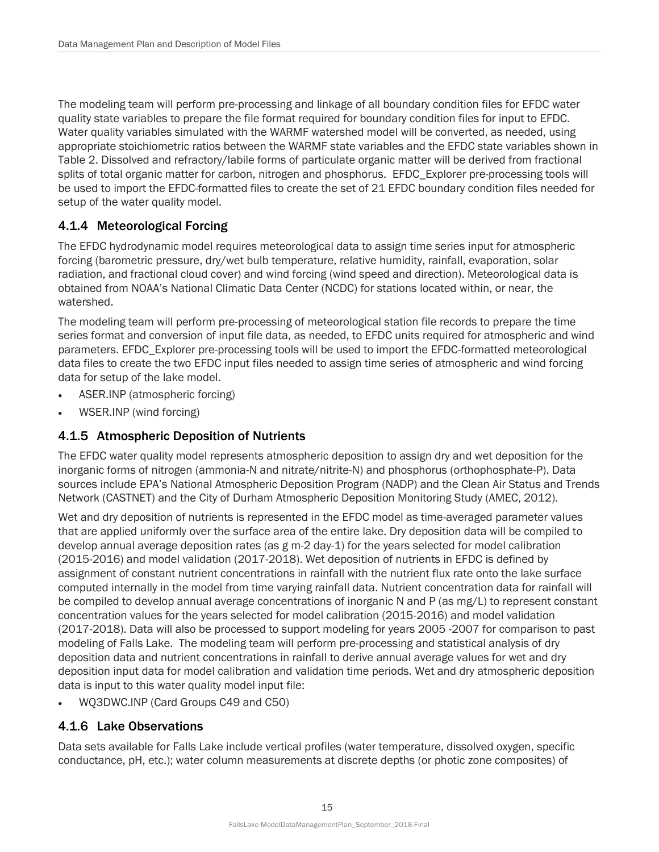The modeling team will perform pre-processing and linkage of all boundary condition files for EFDC water quality state variables to prepare the file format required for boundary condition files for input to EFDC. Water quality variables simulated with the WARMF watershed model will be converted, as needed, using appropriate stoichiometric ratios between the WARMF state variables and the EFDC state variables shown in Table 2. Dissolved and refractory/labile forms of particulate organic matter will be derived from fractional splits of total organic matter for carbon, nitrogen and phosphorus. EFDC\_Explorer pre-processing tools will be used to import the EFDC-formatted files to create the set of 21 EFDC boundary condition files needed for setup of the water quality model.

#### <span id="page-19-0"></span>4.1.4 Meteorological Forcing

The EFDC hydrodynamic model requires meteorological data to assign time series input for atmospheric forcing (barometric pressure, dry/wet bulb temperature, relative humidity, rainfall, evaporation, solar radiation, and fractional cloud cover) and wind forcing (wind speed and direction). Meteorological data is obtained from NOAA's National Climatic Data Center (NCDC) for stations located within, or near, the watershed.

The modeling team will perform pre-processing of meteorological station file records to prepare the time series format and conversion of input file data, as needed, to EFDC units required for atmospheric and wind parameters. EFDC\_Explorer pre-processing tools will be used to import the EFDC-formatted meteorological data files to create the two EFDC input files needed to assign time series of atmospheric and wind forcing data for setup of the lake model.

- ASER.INP (atmospheric forcing)
- WSER.INP (wind forcing)

#### <span id="page-19-1"></span>4.1.5 Atmospheric Deposition of Nutrients

The EFDC water quality model represents atmospheric deposition to assign dry and wet deposition for the inorganic forms of nitrogen (ammonia-N and nitrate/nitrite-N) and phosphorus (orthophosphate-P). Data sources include EPA's National Atmospheric Deposition Program (NADP) and the Clean Air Status and Trends Network (CASTNET) and the City of Durham Atmospheric Deposition Monitoring Study (AMEC, 2012).

Wet and dry deposition of nutrients is represented in the EFDC model as time-averaged parameter values that are applied uniformly over the surface area of the entire lake. Dry deposition data will be compiled to develop annual average deposition rates (as g m-2 day-1) for the years selected for model calibration (2015-2016) and model validation (2017-2018). Wet deposition of nutrients in EFDC is defined by assignment of constant nutrient concentrations in rainfall with the nutrient flux rate onto the lake surface computed internally in the model from time varying rainfall data. Nutrient concentration data for rainfall will be compiled to develop annual average concentrations of inorganic N and P (as mg/L) to represent constant concentration values for the years selected for model calibration (2015-2016) and model validation (2017-2018). Data will also be processed to support modeling for years 2005 -2007 for comparison to past modeling of Falls Lake. The modeling team will perform pre-processing and statistical analysis of dry deposition data and nutrient concentrations in rainfall to derive annual average values for wet and dry deposition input data for model calibration and validation time periods. Wet and dry atmospheric deposition data is input to this water quality model input file:

• WQ3DWC.INP (Card Groups C49 and C50)

#### <span id="page-19-2"></span>4.1.6 Lake Observations

Data sets available for Falls Lake include vertical profiles (water temperature, dissolved oxygen, specific conductance, pH, etc.); water column measurements at discrete depths (or photic zone composites) of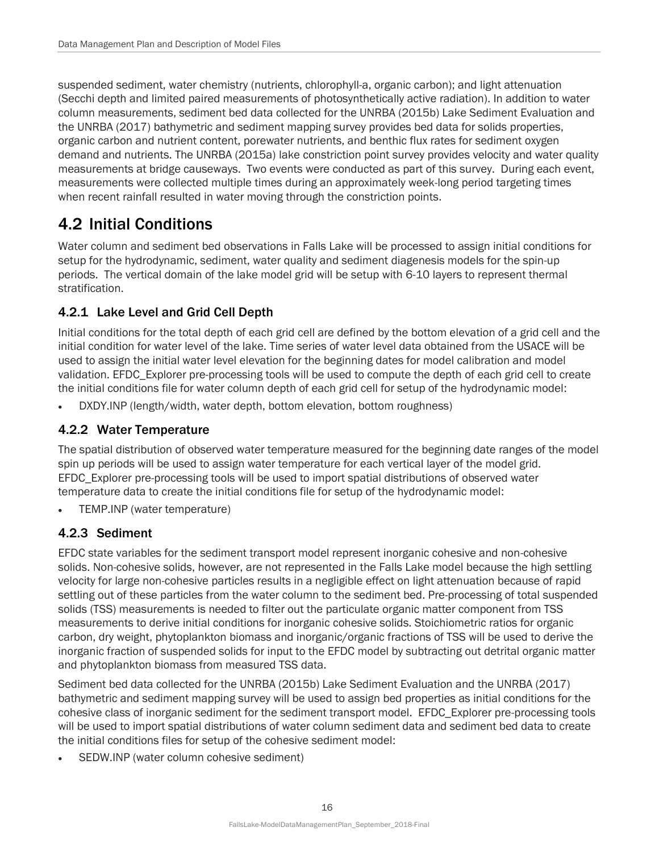suspended sediment, water chemistry (nutrients, chlorophyll-a, organic carbon); and light attenuation (Secchi depth and limited paired measurements of photosynthetically active radiation). In addition to water column measurements, sediment bed data collected for the UNRBA (2015b) Lake Sediment Evaluation and the UNRBA (2017) bathymetric and sediment mapping survey provides bed data for solids properties, organic carbon and nutrient content, porewater nutrients, and benthic flux rates for sediment oxygen demand and nutrients. The UNRBA (2015a) lake constriction point survey provides velocity and water quality measurements at bridge causeways. Two events were conducted as part of this survey. During each event, measurements were collected multiple times during an approximately week-long period targeting times when recent rainfall resulted in water moving through the constriction points.

### <span id="page-20-0"></span>4.2 Initial Conditions

Water column and sediment bed observations in Falls Lake will be processed to assign initial conditions for setup for the hydrodynamic, sediment, water quality and sediment diagenesis models for the spin-up periods. The vertical domain of the lake model grid will be setup with 6-10 layers to represent thermal stratification.

#### <span id="page-20-1"></span>4.2.1 Lake Level and Grid Cell Depth

Initial conditions for the total depth of each grid cell are defined by the bottom elevation of a grid cell and the initial condition for water level of the lake. Time series of water level data obtained from the USACE will be used to assign the initial water level elevation for the beginning dates for model calibration and model validation. EFDC\_Explorer pre-processing tools will be used to compute the depth of each grid cell to create the initial conditions file for water column depth of each grid cell for setup of the hydrodynamic model:

• DXDY.INP (length/width, water depth, bottom elevation, bottom roughness)

#### <span id="page-20-2"></span>4.2.2 Water Temperature

The spatial distribution of observed water temperature measured for the beginning date ranges of the model spin up periods will be used to assign water temperature for each vertical layer of the model grid. EFDC\_Explorer pre-processing tools will be used to import spatial distributions of observed water temperature data to create the initial conditions file for setup of the hydrodynamic model:

• TEMP.INP (water temperature)

#### <span id="page-20-3"></span>4.2.3 Sediment

EFDC state variables for the sediment transport model represent inorganic cohesive and non-cohesive solids. Non-cohesive solids, however, are not represented in the Falls Lake model because the high settling velocity for large non-cohesive particles results in a negligible effect on light attenuation because of rapid settling out of these particles from the water column to the sediment bed. Pre-processing of total suspended solids (TSS) measurements is needed to filter out the particulate organic matter component from TSS measurements to derive initial conditions for inorganic cohesive solids. Stoichiometric ratios for organic carbon, dry weight, phytoplankton biomass and inorganic/organic fractions of TSS will be used to derive the inorganic fraction of suspended solids for input to the EFDC model by subtracting out detrital organic matter and phytoplankton biomass from measured TSS data.

Sediment bed data collected for the UNRBA (2015b) Lake Sediment Evaluation and the UNRBA (2017) bathymetric and sediment mapping survey will be used to assign bed properties as initial conditions for the cohesive class of inorganic sediment for the sediment transport model. EFDC\_Explorer pre-processing tools will be used to import spatial distributions of water column sediment data and sediment bed data to create the initial conditions files for setup of the cohesive sediment model:

• SEDW.INP (water column cohesive sediment)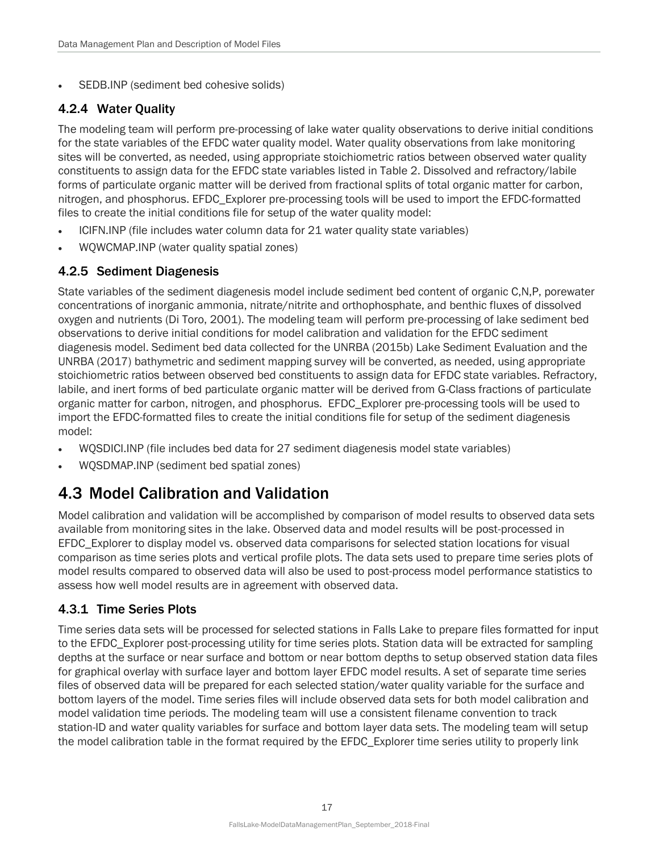• SEDB.INP (sediment bed cohesive solids)

#### <span id="page-21-0"></span>4.2.4 Water Quality

The modeling team will perform pre-processing of lake water quality observations to derive initial conditions for the state variables of the EFDC water quality model. Water quality observations from lake monitoring sites will be converted, as needed, using appropriate stoichiometric ratios between observed water quality constituents to assign data for the EFDC state variables listed in Table 2. Dissolved and refractory/labile forms of particulate organic matter will be derived from fractional splits of total organic matter for carbon, nitrogen, and phosphorus. EFDC\_Explorer pre-processing tools will be used to import the EFDC-formatted files to create the initial conditions file for setup of the water quality model:

- ICIFN.INP (file includes water column data for 21 water quality state variables)
- WQWCMAP.INP (water quality spatial zones)

#### <span id="page-21-1"></span>4.2.5 Sediment Diagenesis

State variables of the sediment diagenesis model include sediment bed content of organic C,N,P, porewater concentrations of inorganic ammonia, nitrate/nitrite and orthophosphate, and benthic fluxes of dissolved oxygen and nutrients (Di Toro, 2001). The modeling team will perform pre-processing of lake sediment bed observations to derive initial conditions for model calibration and validation for the EFDC sediment diagenesis model. Sediment bed data collected for the UNRBA (2015b) Lake Sediment Evaluation and the UNRBA (2017) bathymetric and sediment mapping survey will be converted, as needed, using appropriate stoichiometric ratios between observed bed constituents to assign data for EFDC state variables. Refractory, labile, and inert forms of bed particulate organic matter will be derived from G-Class fractions of particulate organic matter for carbon, nitrogen, and phosphorus. EFDC\_Explorer pre-processing tools will be used to import the EFDC-formatted files to create the initial conditions file for setup of the sediment diagenesis model:

- WQSDICI.INP (file includes bed data for 27 sediment diagenesis model state variables)
- WQSDMAP.INP (sediment bed spatial zones)

## <span id="page-21-2"></span>4.3 Model Calibration and Validation

Model calibration and validation will be accomplished by comparison of model results to observed data sets available from monitoring sites in the lake. Observed data and model results will be post-processed in EFDC\_Explorer to display model vs. observed data comparisons for selected station locations for visual comparison as time series plots and vertical profile plots. The data sets used to prepare time series plots of model results compared to observed data will also be used to post-process model performance statistics to assess how well model results are in agreement with observed data.

#### <span id="page-21-3"></span>4.3.1 Time Series Plots

Time series data sets will be processed for selected stations in Falls Lake to prepare files formatted for input to the EFDC\_Explorer post-processing utility for time series plots. Station data will be extracted for sampling depths at the surface or near surface and bottom or near bottom depths to setup observed station data files for graphical overlay with surface layer and bottom layer EFDC model results. A set of separate time series files of observed data will be prepared for each selected station/water quality variable for the surface and bottom layers of the model. Time series files will include observed data sets for both model calibration and model validation time periods. The modeling team will use a consistent filename convention to track station-ID and water quality variables for surface and bottom layer data sets. The modeling team will setup the model calibration table in the format required by the EFDC\_Explorer time series utility to properly link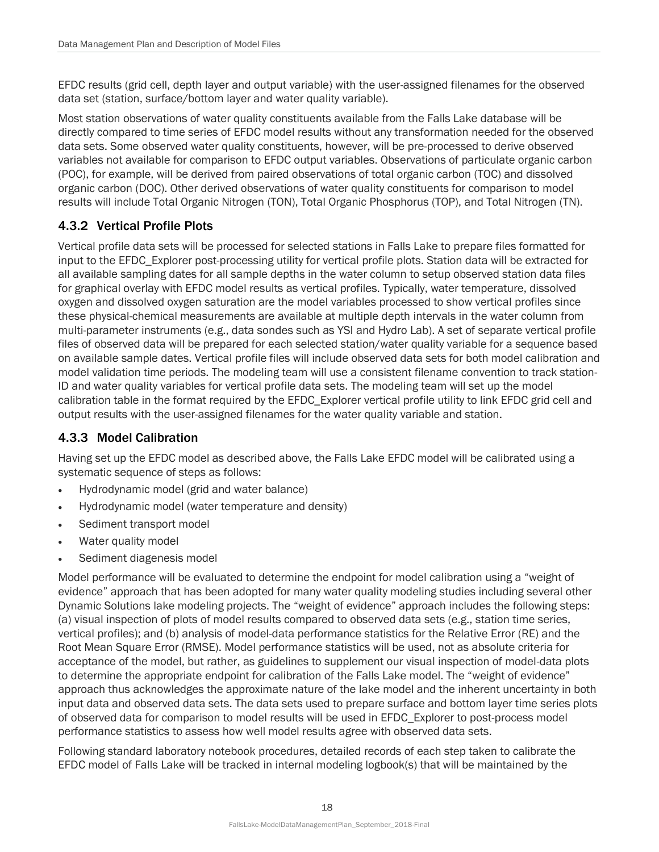EFDC results (grid cell, depth layer and output variable) with the user-assigned filenames for the observed data set (station, surface/bottom layer and water quality variable).

Most station observations of water quality constituents available from the Falls Lake database will be directly compared to time series of EFDC model results without any transformation needed for the observed data sets. Some observed water quality constituents, however, will be pre-processed to derive observed variables not available for comparison to EFDC output variables. Observations of particulate organic carbon (POC), for example, will be derived from paired observations of total organic carbon (TOC) and dissolved organic carbon (DOC). Other derived observations of water quality constituents for comparison to model results will include Total Organic Nitrogen (TON), Total Organic Phosphorus (TOP), and Total Nitrogen (TN).

#### <span id="page-22-0"></span>4.3.2 Vertical Profile Plots

Vertical profile data sets will be processed for selected stations in Falls Lake to prepare files formatted for input to the EFDC\_Explorer post-processing utility for vertical profile plots. Station data will be extracted for all available sampling dates for all sample depths in the water column to setup observed station data files for graphical overlay with EFDC model results as vertical profiles. Typically, water temperature, dissolved oxygen and dissolved oxygen saturation are the model variables processed to show vertical profiles since these physical-chemical measurements are available at multiple depth intervals in the water column from multi-parameter instruments (e.g., data sondes such as YSI and Hydro Lab). A set of separate vertical profile files of observed data will be prepared for each selected station/water quality variable for a sequence based on available sample dates. Vertical profile files will include observed data sets for both model calibration and model validation time periods. The modeling team will use a consistent filename convention to track station-ID and water quality variables for vertical profile data sets. The modeling team will set up the model calibration table in the format required by the EFDC\_Explorer vertical profile utility to link EFDC grid cell and output results with the user-assigned filenames for the water quality variable and station.

#### <span id="page-22-1"></span>4.3.3 Model Calibration

Having set up the EFDC model as described above, the Falls Lake EFDC model will be calibrated using a systematic sequence of steps as follows:

- Hydrodynamic model (grid and water balance)
- Hydrodynamic model (water temperature and density)
- Sediment transport model
- Water quality model
- Sediment diagenesis model

Model performance will be evaluated to determine the endpoint for model calibration using a "weight of evidence" approach that has been adopted for many water quality modeling studies including several other Dynamic Solutions lake modeling projects. The "weight of evidence" approach includes the following steps: (a) visual inspection of plots of model results compared to observed data sets (e.g., station time series, vertical profiles); and (b) analysis of model-data performance statistics for the Relative Error (RE) and the Root Mean Square Error (RMSE). Model performance statistics will be used, not as absolute criteria for acceptance of the model, but rather, as guidelines to supplement our visual inspection of model-data plots to determine the appropriate endpoint for calibration of the Falls Lake model. The "weight of evidence" approach thus acknowledges the approximate nature of the lake model and the inherent uncertainty in both input data and observed data sets. The data sets used to prepare surface and bottom layer time series plots of observed data for comparison to model results will be used in EFDC\_Explorer to post-process model performance statistics to assess how well model results agree with observed data sets.

Following standard laboratory notebook procedures, detailed records of each step taken to calibrate the EFDC model of Falls Lake will be tracked in internal modeling logbook(s) that will be maintained by the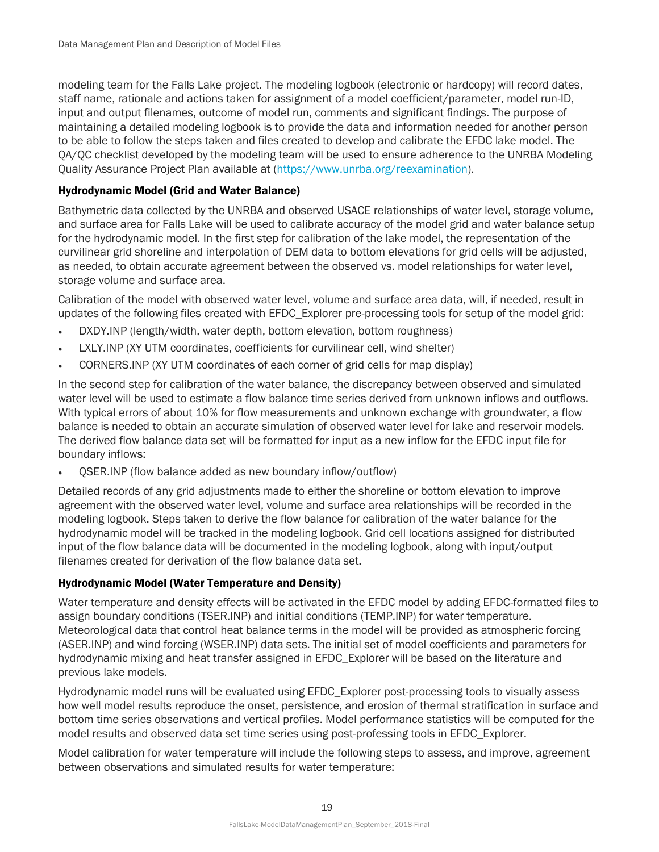modeling team for the Falls Lake project. The modeling logbook (electronic or hardcopy) will record dates, staff name, rationale and actions taken for assignment of a model coefficient/parameter, model run-ID, input and output filenames, outcome of model run, comments and significant findings. The purpose of maintaining a detailed modeling logbook is to provide the data and information needed for another person to be able to follow the steps taken and files created to develop and calibrate the EFDC lake model. The QA/QC checklist developed by the modeling team will be used to ensure adherence to the UNRBA Modeling Quality Assurance Project Plan available at [\(https://www.unrba.org/reexamination\)](https://www.unrba.org/reexamination).

#### Hydrodynamic Model (Grid and Water Balance)

Bathymetric data collected by the UNRBA and observed USACE relationships of water level, storage volume, and surface area for Falls Lake will be used to calibrate accuracy of the model grid and water balance setup for the hydrodynamic model. In the first step for calibration of the lake model, the representation of the curvilinear grid shoreline and interpolation of DEM data to bottom elevations for grid cells will be adjusted, as needed, to obtain accurate agreement between the observed vs. model relationships for water level, storage volume and surface area.

Calibration of the model with observed water level, volume and surface area data, will, if needed, result in updates of the following files created with EFDC\_Explorer pre-processing tools for setup of the model grid:

- DXDY.INP (length/width, water depth, bottom elevation, bottom roughness)
- LXLY.INP (XY UTM coordinates, coefficients for curvilinear cell, wind shelter)
- CORNERS.INP (XY UTM coordinates of each corner of grid cells for map display)

In the second step for calibration of the water balance, the discrepancy between observed and simulated water level will be used to estimate a flow balance time series derived from unknown inflows and outflows. With typical errors of about 10% for flow measurements and unknown exchange with groundwater, a flow balance is needed to obtain an accurate simulation of observed water level for lake and reservoir models. The derived flow balance data set will be formatted for input as a new inflow for the EFDC input file for boundary inflows:

• QSER.INP (flow balance added as new boundary inflow/outflow)

Detailed records of any grid adjustments made to either the shoreline or bottom elevation to improve agreement with the observed water level, volume and surface area relationships will be recorded in the modeling logbook. Steps taken to derive the flow balance for calibration of the water balance for the hydrodynamic model will be tracked in the modeling logbook. Grid cell locations assigned for distributed input of the flow balance data will be documented in the modeling logbook, along with input/output filenames created for derivation of the flow balance data set.

#### Hydrodynamic Model (Water Temperature and Density)

Water temperature and density effects will be activated in the EFDC model by adding EFDC-formatted files to assign boundary conditions (TSER.INP) and initial conditions (TEMP.INP) for water temperature. Meteorological data that control heat balance terms in the model will be provided as atmospheric forcing (ASER.INP) and wind forcing (WSER.INP) data sets. The initial set of model coefficients and parameters for hydrodynamic mixing and heat transfer assigned in EFDC\_Explorer will be based on the literature and previous lake models.

Hydrodynamic model runs will be evaluated using EFDC\_Explorer post-processing tools to visually assess how well model results reproduce the onset, persistence, and erosion of thermal stratification in surface and bottom time series observations and vertical profiles. Model performance statistics will be computed for the model results and observed data set time series using post-professing tools in EFDC\_Explorer.

Model calibration for water temperature will include the following steps to assess, and improve, agreement between observations and simulated results for water temperature: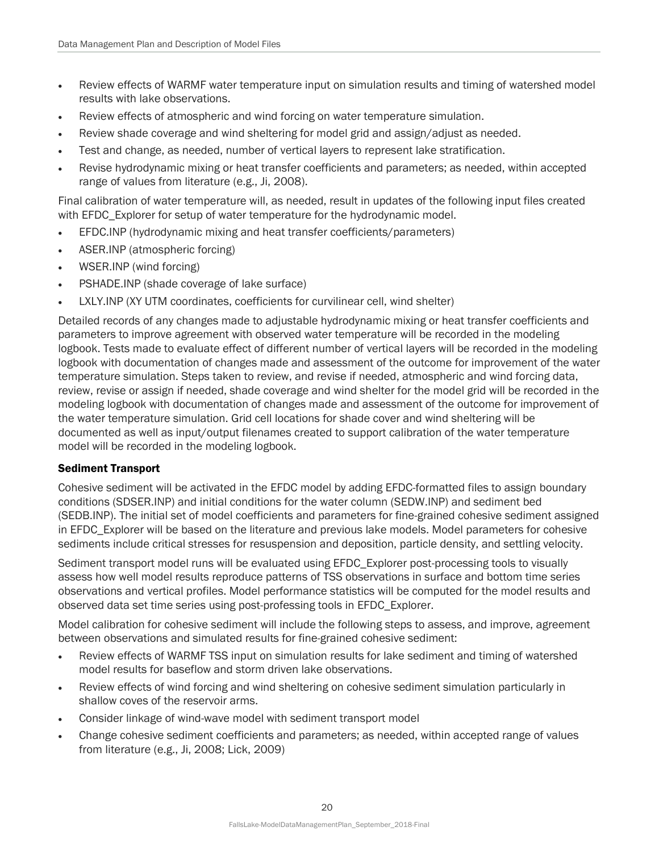- Review effects of WARMF water temperature input on simulation results and timing of watershed model results with lake observations.
- Review effects of atmospheric and wind forcing on water temperature simulation.
- Review shade coverage and wind sheltering for model grid and assign/adjust as needed.
- Test and change, as needed, number of vertical layers to represent lake stratification.
- Revise hydrodynamic mixing or heat transfer coefficients and parameters; as needed, within accepted range of values from literature (e.g., Ji, 2008).

Final calibration of water temperature will, as needed, result in updates of the following input files created with EFDC Explorer for setup of water temperature for the hydrodynamic model.

- EFDC.INP (hydrodynamic mixing and heat transfer coefficients/parameters)
- ASER.INP (atmospheric forcing)
- WSER.INP (wind forcing)
- PSHADE.INP (shade coverage of lake surface)
- LXLY.INP (XY UTM coordinates, coefficients for curvilinear cell, wind shelter)

Detailed records of any changes made to adjustable hydrodynamic mixing or heat transfer coefficients and parameters to improve agreement with observed water temperature will be recorded in the modeling logbook. Tests made to evaluate effect of different number of vertical layers will be recorded in the modeling logbook with documentation of changes made and assessment of the outcome for improvement of the water temperature simulation. Steps taken to review, and revise if needed, atmospheric and wind forcing data, review, revise or assign if needed, shade coverage and wind shelter for the model grid will be recorded in the modeling logbook with documentation of changes made and assessment of the outcome for improvement of the water temperature simulation. Grid cell locations for shade cover and wind sheltering will be documented as well as input/output filenames created to support calibration of the water temperature model will be recorded in the modeling logbook.

#### Sediment Transport

Cohesive sediment will be activated in the EFDC model by adding EFDC-formatted files to assign boundary conditions (SDSER.INP) and initial conditions for the water column (SEDW.INP) and sediment bed (SEDB.INP). The initial set of model coefficients and parameters for fine-grained cohesive sediment assigned in EFDC\_Explorer will be based on the literature and previous lake models. Model parameters for cohesive sediments include critical stresses for resuspension and deposition, particle density, and settling velocity.

Sediment transport model runs will be evaluated using EFDC Explorer post-processing tools to visually assess how well model results reproduce patterns of TSS observations in surface and bottom time series observations and vertical profiles. Model performance statistics will be computed for the model results and observed data set time series using post-professing tools in EFDC\_Explorer.

Model calibration for cohesive sediment will include the following steps to assess, and improve, agreement between observations and simulated results for fine-grained cohesive sediment:

- Review effects of WARMF TSS input on simulation results for lake sediment and timing of watershed model results for baseflow and storm driven lake observations.
- Review effects of wind forcing and wind sheltering on cohesive sediment simulation particularly in shallow coves of the reservoir arms.
- Consider linkage of wind-wave model with sediment transport model
- Change cohesive sediment coefficients and parameters; as needed, within accepted range of values from literature (e.g., Ji, 2008; Lick, 2009)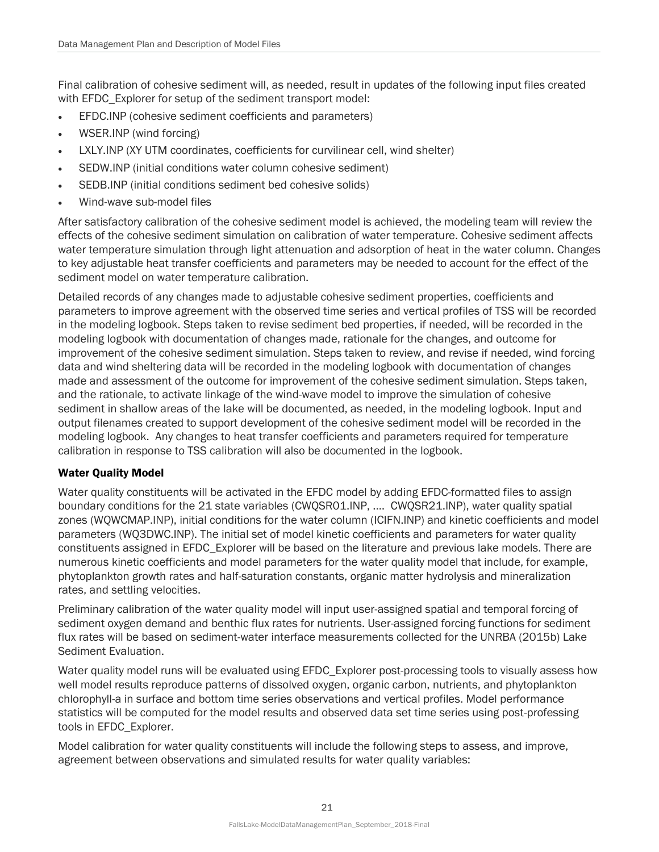Final calibration of cohesive sediment will, as needed, result in updates of the following input files created with EFDC Explorer for setup of the sediment transport model:

- EFDC.INP (cohesive sediment coefficients and parameters)
- WSER.INP (wind forcing)
- LXLY.INP (XY UTM coordinates, coefficients for curvilinear cell, wind shelter)
- SEDW.INP (initial conditions water column cohesive sediment)
- SEDB.INP (initial conditions sediment bed cohesive solids)
- Wind-wave sub-model files

After satisfactory calibration of the cohesive sediment model is achieved, the modeling team will review the effects of the cohesive sediment simulation on calibration of water temperature. Cohesive sediment affects water temperature simulation through light attenuation and adsorption of heat in the water column. Changes to key adjustable heat transfer coefficients and parameters may be needed to account for the effect of the sediment model on water temperature calibration.

Detailed records of any changes made to adjustable cohesive sediment properties, coefficients and parameters to improve agreement with the observed time series and vertical profiles of TSS will be recorded in the modeling logbook. Steps taken to revise sediment bed properties, if needed, will be recorded in the modeling logbook with documentation of changes made, rationale for the changes, and outcome for improvement of the cohesive sediment simulation. Steps taken to review, and revise if needed, wind forcing data and wind sheltering data will be recorded in the modeling logbook with documentation of changes made and assessment of the outcome for improvement of the cohesive sediment simulation. Steps taken, and the rationale, to activate linkage of the wind-wave model to improve the simulation of cohesive sediment in shallow areas of the lake will be documented, as needed, in the modeling logbook. Input and output filenames created to support development of the cohesive sediment model will be recorded in the modeling logbook. Any changes to heat transfer coefficients and parameters required for temperature calibration in response to TSS calibration will also be documented in the logbook.

#### Water Quality Model

Water quality constituents will be activated in the EFDC model by adding EFDC-formatted files to assign boundary conditions for the 21 state variables (CWQSR01.INP, .… CWQSR21.INP), water quality spatial zones (WQWCMAP.INP), initial conditions for the water column (ICIFN.INP) and kinetic coefficients and model parameters (WQ3DWC.INP). The initial set of model kinetic coefficients and parameters for water quality constituents assigned in EFDC\_Explorer will be based on the literature and previous lake models. There are numerous kinetic coefficients and model parameters for the water quality model that include, for example, phytoplankton growth rates and half-saturation constants, organic matter hydrolysis and mineralization rates, and settling velocities.

Preliminary calibration of the water quality model will input user-assigned spatial and temporal forcing of sediment oxygen demand and benthic flux rates for nutrients. User-assigned forcing functions for sediment flux rates will be based on sediment-water interface measurements collected for the UNRBA (2015b) Lake Sediment Evaluation.

Water quality model runs will be evaluated using EFDC\_Explorer post-processing tools to visually assess how well model results reproduce patterns of dissolved oxygen, organic carbon, nutrients, and phytoplankton chlorophyll-a in surface and bottom time series observations and vertical profiles. Model performance statistics will be computed for the model results and observed data set time series using post-professing tools in EFDC\_Explorer.

Model calibration for water quality constituents will include the following steps to assess, and improve, agreement between observations and simulated results for water quality variables: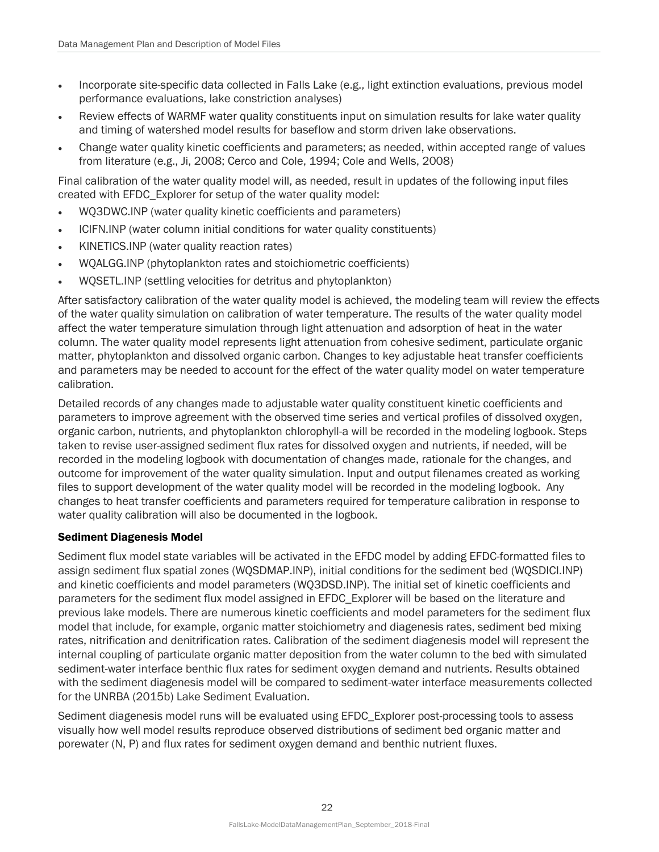- Incorporate site-specific data collected in Falls Lake (e.g., light extinction evaluations, previous model performance evaluations, lake constriction analyses)
- Review effects of WARMF water quality constituents input on simulation results for lake water quality and timing of watershed model results for baseflow and storm driven lake observations.
- Change water quality kinetic coefficients and parameters; as needed, within accepted range of values from literature (e.g., Ji, 2008; Cerco and Cole, 1994; Cole and Wells, 2008)

Final calibration of the water quality model will, as needed, result in updates of the following input files created with EFDC\_Explorer for setup of the water quality model:

- WQ3DWC.INP (water quality kinetic coefficients and parameters)
- ICIFN.INP (water column initial conditions for water quality constituents)
- KINETICS.INP (water quality reaction rates)
- WQALGG.INP (phytoplankton rates and stoichiometric coefficients)
- WQSETL.INP (settling velocities for detritus and phytoplankton)

After satisfactory calibration of the water quality model is achieved, the modeling team will review the effects of the water quality simulation on calibration of water temperature. The results of the water quality model affect the water temperature simulation through light attenuation and adsorption of heat in the water column. The water quality model represents light attenuation from cohesive sediment, particulate organic matter, phytoplankton and dissolved organic carbon. Changes to key adjustable heat transfer coefficients and parameters may be needed to account for the effect of the water quality model on water temperature calibration.

Detailed records of any changes made to adjustable water quality constituent kinetic coefficients and parameters to improve agreement with the observed time series and vertical profiles of dissolved oxygen, organic carbon, nutrients, and phytoplankton chlorophyll-a will be recorded in the modeling logbook. Steps taken to revise user-assigned sediment flux rates for dissolved oxygen and nutrients, if needed, will be recorded in the modeling logbook with documentation of changes made, rationale for the changes, and outcome for improvement of the water quality simulation. Input and output filenames created as working files to support development of the water quality model will be recorded in the modeling logbook. Any changes to heat transfer coefficients and parameters required for temperature calibration in response to water quality calibration will also be documented in the logbook.

#### Sediment Diagenesis Model

Sediment flux model state variables will be activated in the EFDC model by adding EFDC-formatted files to assign sediment flux spatial zones (WQSDMAP.INP), initial conditions for the sediment bed (WQSDICI.INP) and kinetic coefficients and model parameters (WQ3DSD.INP). The initial set of kinetic coefficients and parameters for the sediment flux model assigned in EFDC\_Explorer will be based on the literature and previous lake models. There are numerous kinetic coefficients and model parameters for the sediment flux model that include, for example, organic matter stoichiometry and diagenesis rates, sediment bed mixing rates, nitrification and denitrification rates. Calibration of the sediment diagenesis model will represent the internal coupling of particulate organic matter deposition from the water column to the bed with simulated sediment-water interface benthic flux rates for sediment oxygen demand and nutrients. Results obtained with the sediment diagenesis model will be compared to sediment-water interface measurements collected for the UNRBA (2015b) Lake Sediment Evaluation.

Sediment diagenesis model runs will be evaluated using EFDC\_Explorer post-processing tools to assess visually how well model results reproduce observed distributions of sediment bed organic matter and porewater (N, P) and flux rates for sediment oxygen demand and benthic nutrient fluxes.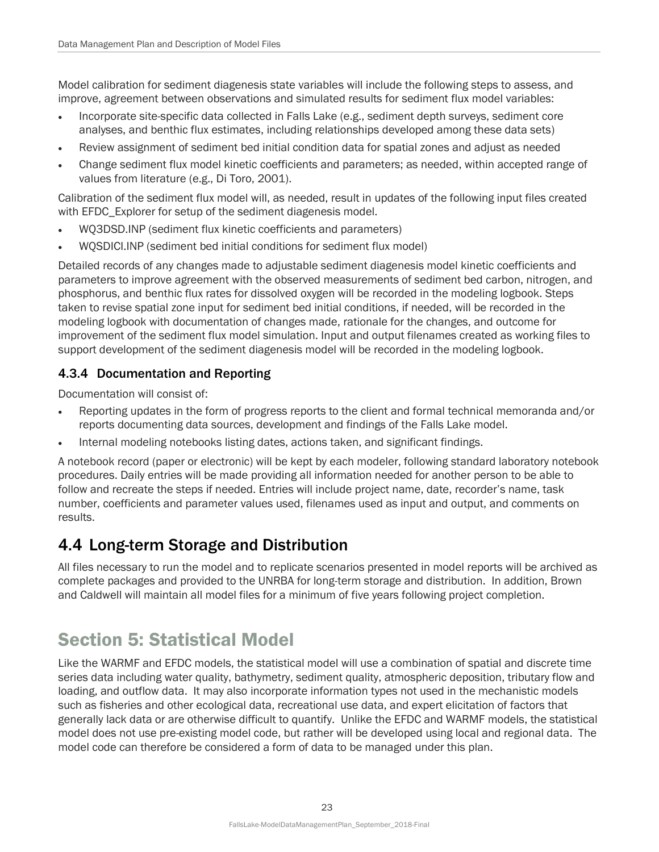Model calibration for sediment diagenesis state variables will include the following steps to assess, and improve, agreement between observations and simulated results for sediment flux model variables:

- Incorporate site-specific data collected in Falls Lake (e.g., sediment depth surveys, sediment core analyses, and benthic flux estimates, including relationships developed among these data sets)
- Review assignment of sediment bed initial condition data for spatial zones and adjust as needed
- Change sediment flux model kinetic coefficients and parameters; as needed, within accepted range of values from literature (e.g., Di Toro, 2001).

Calibration of the sediment flux model will, as needed, result in updates of the following input files created with EFDC Explorer for setup of the sediment diagenesis model.

- WQ3DSD.INP (sediment flux kinetic coefficients and parameters)
- WQSDICI.INP (sediment bed initial conditions for sediment flux model)

Detailed records of any changes made to adjustable sediment diagenesis model kinetic coefficients and parameters to improve agreement with the observed measurements of sediment bed carbon, nitrogen, and phosphorus, and benthic flux rates for dissolved oxygen will be recorded in the modeling logbook. Steps taken to revise spatial zone input for sediment bed initial conditions, if needed, will be recorded in the modeling logbook with documentation of changes made, rationale for the changes, and outcome for improvement of the sediment flux model simulation. Input and output filenames created as working files to support development of the sediment diagenesis model will be recorded in the modeling logbook.

#### <span id="page-27-0"></span>4.3.4 Documentation and Reporting

Documentation will consist of:

- Reporting updates in the form of progress reports to the client and formal technical memoranda and/or reports documenting data sources, development and findings of the Falls Lake model.
- Internal modeling notebooks listing dates, actions taken, and significant findings.

A notebook record (paper or electronic) will be kept by each modeler, following standard laboratory notebook procedures. Daily entries will be made providing all information needed for another person to be able to follow and recreate the steps if needed. Entries will include project name, date, recorder's name, task number, coefficients and parameter values used, filenames used as input and output, and comments on results.

### <span id="page-27-1"></span>4.4 Long-term Storage and Distribution

All files necessary to run the model and to replicate scenarios presented in model reports will be archived as complete packages and provided to the UNRBA for long-term storage and distribution. In addition, Brown and Caldwell will maintain all model files for a minimum of five years following project completion.

## <span id="page-27-2"></span>Section 5: Statistical Model

Like the WARMF and EFDC models, the statistical model will use a combination of spatial and discrete time series data including water quality, bathymetry, sediment quality, atmospheric deposition, tributary flow and loading, and outflow data. It may also incorporate information types not used in the mechanistic models such as fisheries and other ecological data, recreational use data, and expert elicitation of factors that generally lack data or are otherwise difficult to quantify. Unlike the EFDC and WARMF models, the statistical model does not use pre-existing model code, but rather will be developed using local and regional data. The model code can therefore be considered a form of data to be managed under this plan.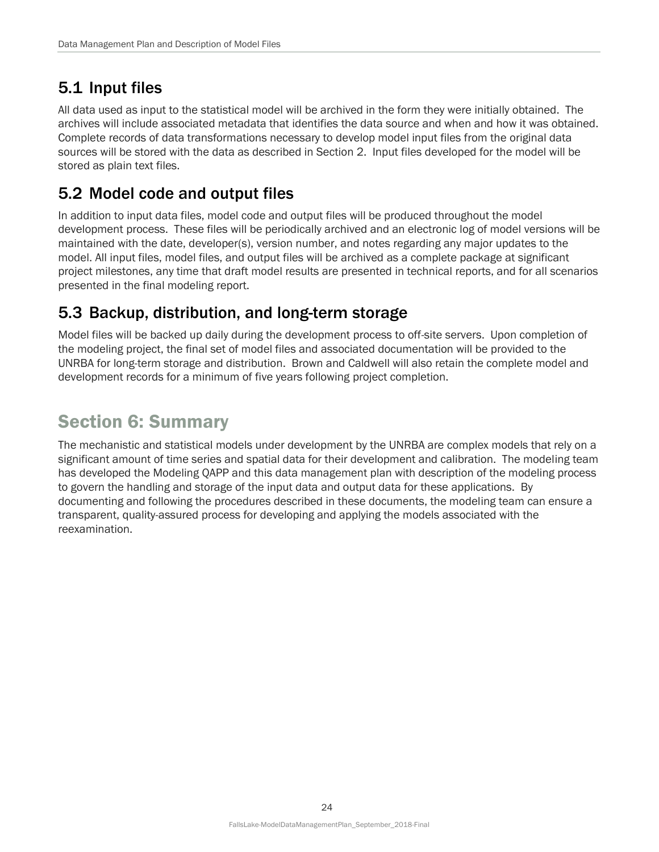## <span id="page-28-0"></span>5.1 Input files

All data used as input to the statistical model will be archived in the form they were initially obtained. The archives will include associated metadata that identifies the data source and when and how it was obtained. Complete records of data transformations necessary to develop model input files from the original data sources will be stored with the data as described in Section 2. Input files developed for the model will be stored as plain text files.

### <span id="page-28-1"></span>5.2 Model code and output files

In addition to input data files, model code and output files will be produced throughout the model development process. These files will be periodically archived and an electronic log of model versions will be maintained with the date, developer(s), version number, and notes regarding any major updates to the model. All input files, model files, and output files will be archived as a complete package at significant project milestones, any time that draft model results are presented in technical reports, and for all scenarios presented in the final modeling report.

### <span id="page-28-2"></span>5.3 Backup, distribution, and long-term storage

Model files will be backed up daily during the development process to off-site servers. Upon completion of the modeling project, the final set of model files and associated documentation will be provided to the UNRBA for long-term storage and distribution. Brown and Caldwell will also retain the complete model and development records for a minimum of five years following project completion.

## <span id="page-28-3"></span>Section 6: Summary

The mechanistic and statistical models under development by the UNRBA are complex models that rely on a significant amount of time series and spatial data for their development and calibration. The modeling team has developed the Modeling QAPP and this data management plan with description of the modeling process to govern the handling and storage of the input data and output data for these applications. By documenting and following the procedures described in these documents, the modeling team can ensure a transparent, quality-assured process for developing and applying the models associated with the reexamination.